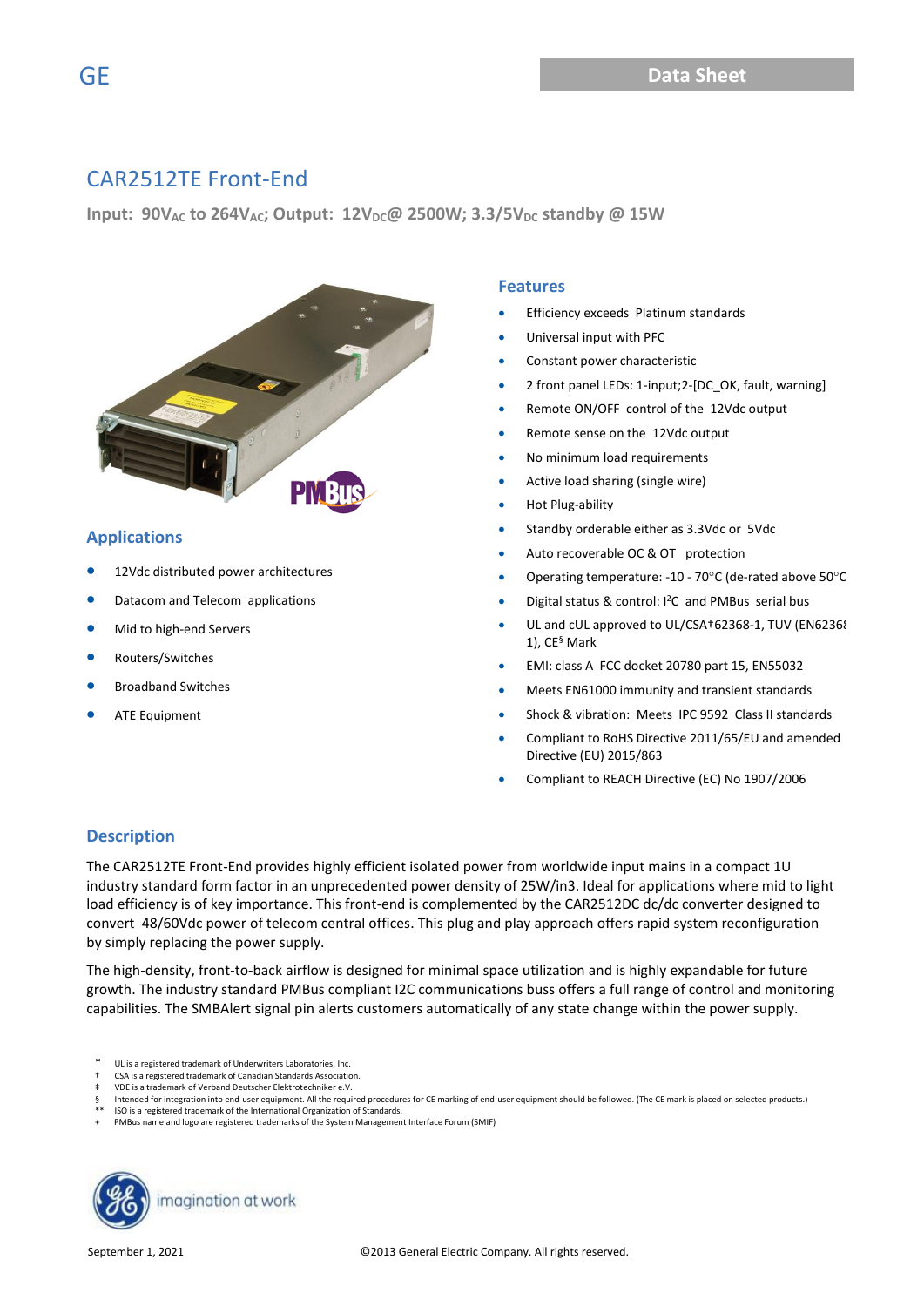**Input: 90VAC to 264VAC; Output: 12VDC@ 2500W; 3.3/5VDC standby @ 15W**



#### **Applications**

- 12Vdc distributed power architectures
- Datacom and Telecom applications
- Mid to high-end Servers
- Routers/Switches
- Broadband Switches
- ATE Equipment

#### **Features**

- Efficiency exceeds Platinum standards
- Universal input with PFC
- Constant power characteristic
- 2 front panel LEDs: 1-input;2-[DC\_OK, fault, warning]
- Remote ON/OFF control of the 12Vdc output
- Remote sense on the 12Vdc output
- No minimum load requirements
- Active load sharing (single wire)
- Hot Plug-ability
- Standby orderable either as 3.3Vdc or 5Vdc
- Auto recoverable OC & OT protection
- Operating temperature: -10 70°C (de-rated above 50°C
- Digital status & control: I<sup>2</sup>C and PMBus serial bus
- UL and cUL approved to UL/CSA+62368-1, TUV (EN62368-1), CE§ Mark
- EMI: class A FCC docket 20780 part 15, EN55032
- Meets EN61000 immunity and transient standards
- Shock & vibration: Meets IPC 9592 Class II standards
- Compliant to RoHS Directive 2011/65/EU and amended Directive (EU) 2015/863
- Compliant to REACH Directive (EC) No 1907/2006

#### **Description**

The CAR2512TE Front-End provides highly efficient isolated power from worldwide input mains in a compact 1U industry standard form factor in an unprecedented power density of 25W/in3. Ideal for applications where mid to light load efficiency is of key importance. This front-end is complemented by the CAR2512DC dc/dc converter designed to convert 48/60Vdc power of telecom central offices. This plug and play approach offers rapid system reconfiguration by simply replacing the power supply.

The high-density, front-to-back airflow is designed for minimal space utilization and is highly expandable for future growth. The industry standard PMBus compliant I2C communications buss offers a full range of control and monitoring capabilities. The SMBAlert signal pin alerts customers automatically of any state change within the power supply.

- UL is a registered trademark of Underwriters Laboratories, Inc.
- CSA is a registered trademark of Canadian Standards Association.
- VDE is a trademark of Verband Deutscher Elektrotechniker e.V.
- Intended for integration into end-user equipment. All the required procedures for CE marking of end-user equipment should be followed. (The CE mark is placed on selected products.)
- ISO is a registered trademark of the International Organization of Standards.
- PMBus name and logo are registered trademarks of the System Management Interface Forum (SMIF)

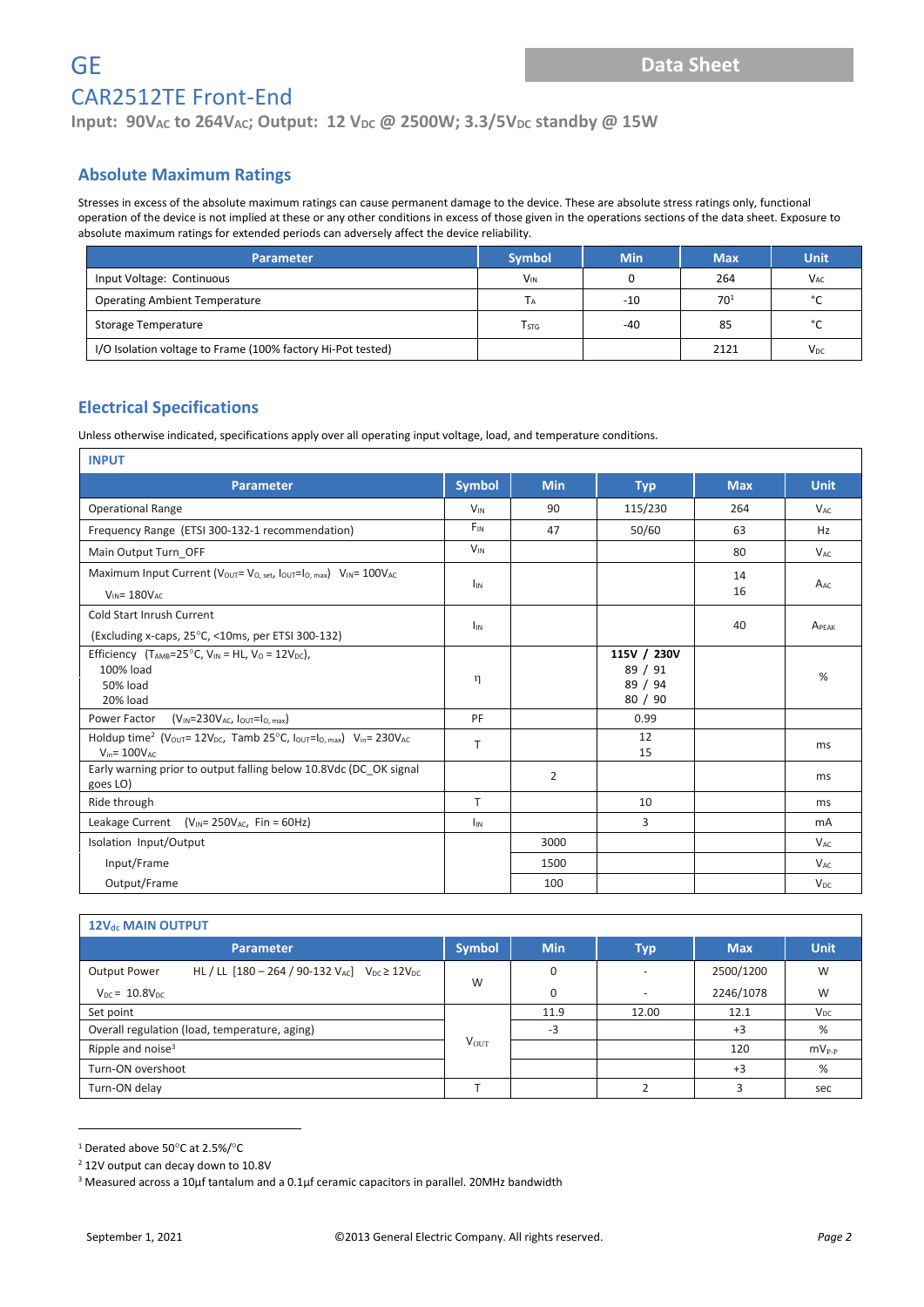**Input: 90V<sub>AC</sub> to 264V<sub>AC</sub>; Output: 12 V<sub>DC</sub> @ 2500W; 3.3/5V<sub>DC</sub> standby @ 15W** 

#### **Absolute Maximum Ratings**

Stresses in excess of the absolute maximum ratings can cause permanent damage to the device. These are absolute stress ratings only, functional operation of the device is not implied at these or any other conditions in excess of those given in the operations sections of the data sheet. Exposure to absolute maximum ratings for extended periods can adversely affect the device reliability.

| Parameter                                                   | <b>Symbol</b>           | <b>Min</b> | <b>Max</b> | <b>Unit</b>           |
|-------------------------------------------------------------|-------------------------|------------|------------|-----------------------|
| Input Voltage: Continuous                                   | $V_{IN}$                |            | 264        | <b>V<sub>AC</sub></b> |
| <b>Operating Ambient Temperature</b>                        |                         | -10        | $70^{1}$   | $\mathcal{C}$         |
| Storage Temperature                                         | <b>T</b> <sub>STG</sub> | -40        | 85         | $^{\circ}$            |
| I/O Isolation voltage to Frame (100% factory Hi-Pot tested) |                         |            | 2121       | V <sub>DC</sub>       |

#### **Electrical Specifications**

Unless otherwise indicated, specifications apply over all operating input voltage, load, and temperature conditions.

| <b>INPUT</b>                                                                                                                                                                  |                       |                |                                              |            |                       |
|-------------------------------------------------------------------------------------------------------------------------------------------------------------------------------|-----------------------|----------------|----------------------------------------------|------------|-----------------------|
| <b>Parameter</b>                                                                                                                                                              | <b>Symbol</b>         | <b>Min</b>     | <b>Typ</b>                                   | <b>Max</b> | <b>Unit</b>           |
| <b>Operational Range</b>                                                                                                                                                      | <b>V<sub>IN</sub></b> | 90             | 115/230                                      | 264        | $V_{AC}$              |
| Frequency Range (ETSI 300-132-1 recommendation)                                                                                                                               | $F_{IN}$              | 47             | 50/60                                        | 63         | Hz                    |
| Main Output Turn_OFF                                                                                                                                                          | $V_{IN}$              |                |                                              | 80         | $V_{AC}$              |
| Maximum Input Current (Vout= Vo, set, Iout=Io, max) VIN= 100VAC<br>$V_{IN} = 180V_{AC}$                                                                                       | $I_{IN}$              |                |                                              | 14<br>16   | $A_{AC}$              |
| Cold Start Inrush Current<br>(Excluding x-caps, 25°C, <10ms, per ETSI 300-132)                                                                                                | <b>I</b> IN           |                |                                              | 40         | APFAK                 |
| Efficiency (T <sub>AMB</sub> =25°C, V <sub>IN</sub> = HL, V <sub>0</sub> = 12V <sub>DC</sub> ),<br>100% load<br>50% load<br>20% load                                          | η                     |                | 115V / 230V<br>89 / 91<br>89 / 94<br>80 / 90 |            | %                     |
| Power Factor<br>$(V_{IN} = 230V_{AC}$ , $I_{OUT} = I_{O, max}$                                                                                                                | PF                    |                | 0.99                                         |            |                       |
| Holdup time <sup>2</sup> (V <sub>OUT</sub> = 12V <sub>DC</sub> , Tamb 25°C, $I_{\text{OUT}}=I_{\text{O, max}}$ ) V <sub>in</sub> = 230V <sub>AC</sub><br>$V_{in} = 100V_{AC}$ | T                     |                | 12<br>15                                     |            | ms                    |
| Early warning prior to output falling below 10.8Vdc (DC_OK signal<br>goes LO)                                                                                                 |                       | $\overline{2}$ |                                              |            | ms                    |
| Ride through                                                                                                                                                                  | T.                    |                | 10                                           |            | ms                    |
| Leakage Current $(V_{IN} = 250V_{AC}$ , Fin = 60Hz)                                                                                                                           | <b>I<sub>IN</sub></b> |                | 3                                            |            | mA                    |
| Isolation Input/Output                                                                                                                                                        |                       | 3000           |                                              |            | $V_{AC}$              |
| Input/Frame                                                                                                                                                                   |                       | 1500           |                                              |            | <b>V<sub>AC</sub></b> |
| Output/Frame                                                                                                                                                                  |                       | 100            |                                              |            | V <sub>DC</sub>       |

| 12V <sub>dc</sub> MAIN OUTPUT                                                 |               |             |            |            |                |  |  |  |
|-------------------------------------------------------------------------------|---------------|-------------|------------|------------|----------------|--|--|--|
| Parameter                                                                     | <b>Symbol</b> | <b>Min</b>  | <b>Typ</b> | <b>Max</b> | <b>Unit</b>    |  |  |  |
| HL / LL $[180 - 264 / 90 - 132 V_{AC}]$ $V_{DC} \ge 12V_{DC}$<br>Output Power | W             | $\Omega$    |            | 2500/1200  | W              |  |  |  |
| $V_{DC}$ = 10.8 $V_{DC}$                                                      |               | $\mathbf 0$ | -          | 2246/1078  | W              |  |  |  |
| Set point                                                                     |               | 11.9        | 12.00      | 12.1       | $V_{DC}$       |  |  |  |
| Overall regulation (load, temperature, aging)                                 |               | $-3$        |            | $+3$       | %              |  |  |  |
| Ripple and noise <sup>3</sup>                                                 | $V_{OUT}$     |             |            | 120        | $mv_{\rm P-P}$ |  |  |  |
| Turn-ON overshoot                                                             |               |             |            | $+3$       | %              |  |  |  |
| Turn-ON delay                                                                 |               |             |            | 3          | sec            |  |  |  |

 $1$  Derated above 50 $^{\circ}$ C at 2.5%/ $^{\circ}$ C

<sup>2</sup> 12V output can decay down to 10.8V

<sup>&</sup>lt;sup>3</sup> Measured across a 10µf tantalum and a 0.1µf ceramic capacitors in parallel. 20MHz bandwidth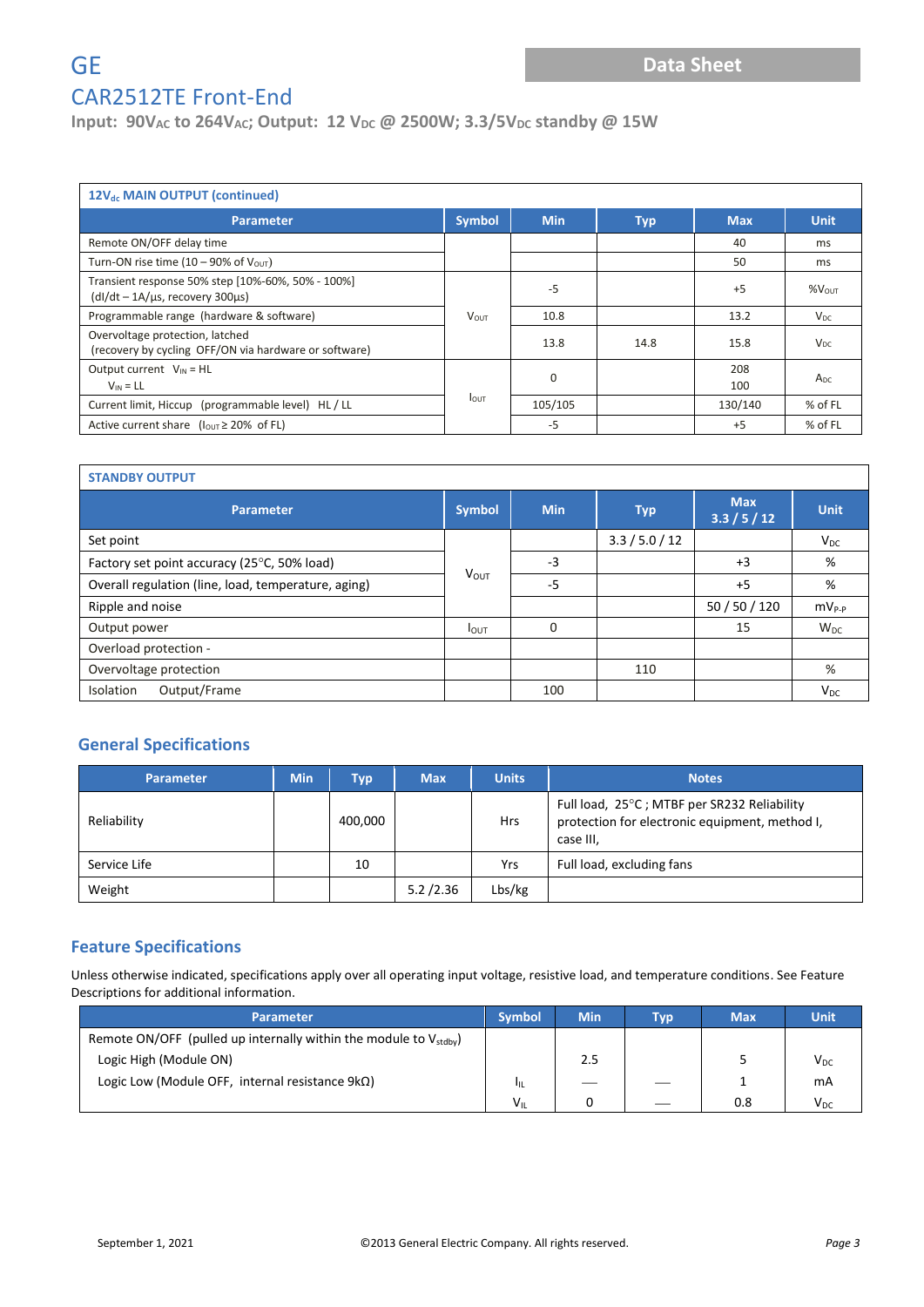**Input: 90V**<sub>AC</sub> **to 264V**<sub>AC</sub>; Output: 12 V<sub>DC</sub> @ 2500W; 3.3/5V<sub>DC</sub> standby @ 15W

| 12V <sub>dc</sub> MAIN OUTPUT (continued)                                                        |               |            |            |            |                 |  |  |  |  |
|--------------------------------------------------------------------------------------------------|---------------|------------|------------|------------|-----------------|--|--|--|--|
| <b>Parameter</b>                                                                                 | <b>Symbol</b> | <b>Min</b> | <b>Typ</b> | <b>Max</b> | <b>Unit</b>     |  |  |  |  |
| Remote ON/OFF delay time                                                                         |               |            |            | 40         | ms              |  |  |  |  |
| Turn-ON rise time (10 – 90% of $V_{OUT}$ )                                                       |               |            |            | 50         | ms              |  |  |  |  |
| Transient response 50% step [10%-60%, 50% - 100%]<br>$(dI/dt - 1A/\mu s,$ recovery 300 $\mu s$ ) |               | $-5$       |            | $+5$       | $%V_{OUT}$      |  |  |  |  |
| Programmable range (hardware & software)                                                         | <b>VOUT</b>   | 10.8       |            | 13.2       | $V_{DC}$        |  |  |  |  |
| Overvoltage protection, latched<br>(recovery by cycling OFF/ON via hardware or software)         |               | 13.8       | 14.8       | 15.8       | $V_{DC}$        |  |  |  |  |
| Output current $V_{IN} = HL$<br>$V_{IN} = LL$                                                    | $\mathbf 0$   |            |            | 208<br>100 | A <sub>DC</sub> |  |  |  |  |
| Current limit, Hiccup (programmable level) HL / LL                                               | <b>I</b> out  | 105/105    |            | 130/140    | % of FL         |  |  |  |  |
| Active current share $(l_{\text{OUT}} \ge 20\% \text{ of FL})$                                   |               | $-5$       |            | $+5$       | $%$ of FL       |  |  |  |  |

| <b>STANDBY OUTPUT</b>                               |                  |            |                |                            |             |  |  |  |  |
|-----------------------------------------------------|------------------|------------|----------------|----------------------------|-------------|--|--|--|--|
| <b>Parameter</b>                                    | <b>Symbol</b>    | <b>Min</b> | <b>Typ</b>     | <b>Max</b><br>3.3 / 5 / 12 | <b>Unit</b> |  |  |  |  |
| Set point                                           |                  |            | 3.3 / 5.0 / 12 |                            | $V_{DC}$    |  |  |  |  |
| Factory set point accuracy (25°C, 50% load)         |                  | $-3$       |                | $+3$                       | %           |  |  |  |  |
| Overall regulation (line, load, temperature, aging) | <b>VOUT</b>      | $-5$       |                | $+5$                       | %           |  |  |  |  |
| Ripple and noise                                    |                  |            |                | 50 / 50 / 120              | $MV_{P-P}$  |  |  |  |  |
| Output power                                        | $I_{\text{OUT}}$ | $\Omega$   |                | 15                         | $W_{DC}$    |  |  |  |  |
| Overload protection -                               |                  |            |                |                            |             |  |  |  |  |
| Overvoltage protection                              |                  |            | 110            |                            | %           |  |  |  |  |
| Output/Frame<br>Isolation                           |                  | 100        |                |                            | $V_{DC}$    |  |  |  |  |

#### **General Specifications**

| <b>Parameter</b> | <b>Min</b> | <b>Typ</b> | <b>Max</b> | <b>Units</b> | <b>Notes</b>                                                                                               |
|------------------|------------|------------|------------|--------------|------------------------------------------------------------------------------------------------------------|
| Reliability      |            | 400,000    |            | <b>Hrs</b>   | Full load, 25°C; MTBF per SR232 Reliability<br>protection for electronic equipment, method I,<br>case III. |
| Service Life     |            | 10         |            | Yrs          | Full load, excluding fans                                                                                  |
| Weight           |            |            | 5.2 / 2.36 | Lbs/kg       |                                                                                                            |

#### **Feature Specifications**

Unless otherwise indicated, specifications apply over all operating input voltage, resistive load, and temperature conditions. See Feature Descriptions for additional information.

| <b>Parameter</b>                                                              | <b>Symbol</b> | <b>Min</b> | Typ | <b>Max</b> | Unit     |
|-------------------------------------------------------------------------------|---------------|------------|-----|------------|----------|
| Remote ON/OFF (pulled up internally within the module to $V_{\text{stdbv}}$ ) |               |            |     |            |          |
| Logic High (Module ON)                                                        |               | 2.5        |     |            | $V_{DC}$ |
| Logic Low (Module OFF, internal resistance $9k\Omega$ )                       | ЧL            |            |     |            | mA       |
|                                                                               | $V_{\rm IL}$  |            | __  | 0.8        | $V_{DC}$ |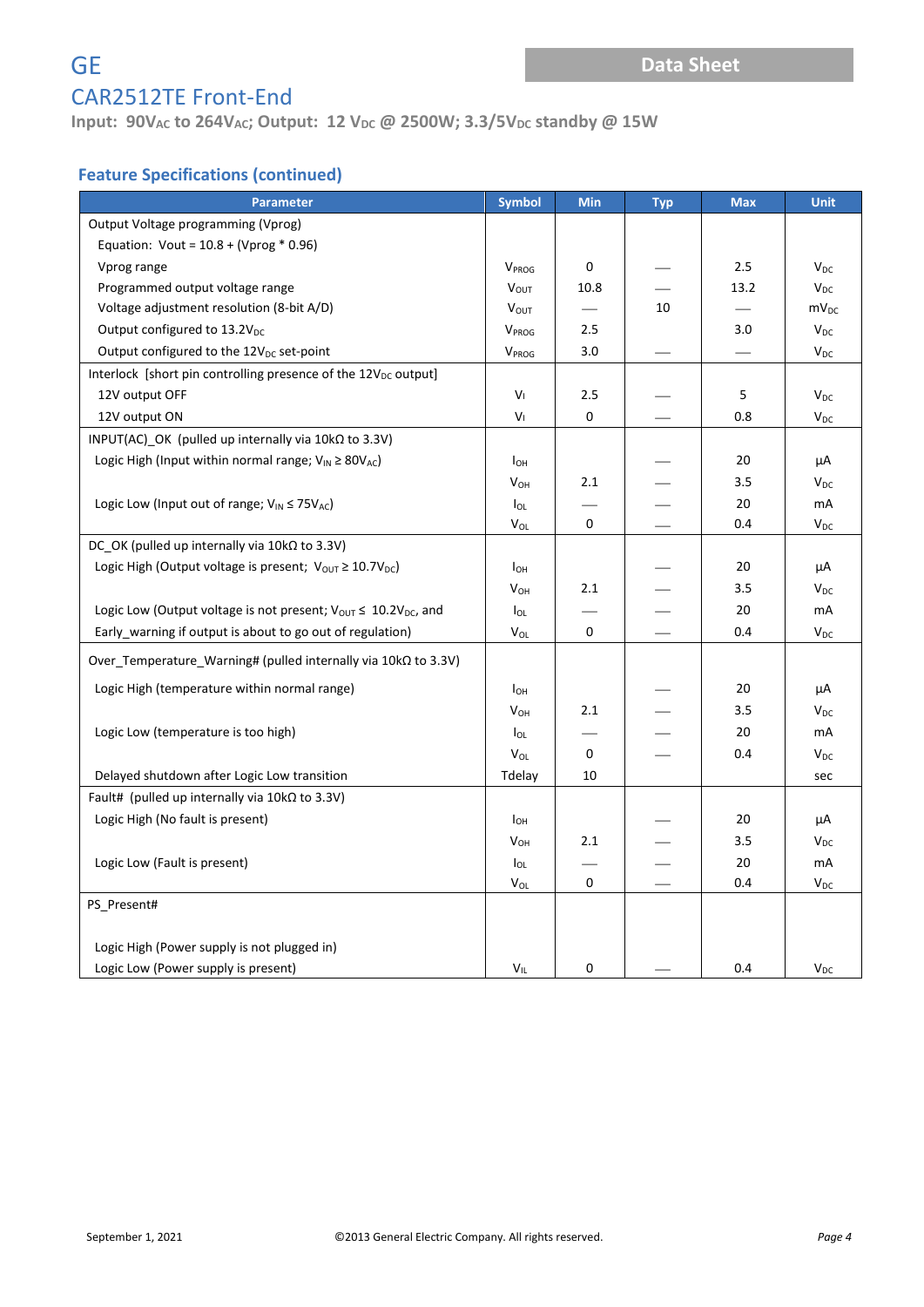## **Input: 90V**<sub>AC</sub> **to 264V**<sub>AC</sub>; Output: 12 V<sub>DC</sub> @ 2500W; 3.3/5V<sub>DC</sub> standby @ 15W

### **Feature Specifications (continued)**

| <b>Parameter</b>                                                                | <b>Symbol</b>         | <b>Min</b> | <b>Typ</b> | <b>Max</b> | <b>Unit</b>            |
|---------------------------------------------------------------------------------|-----------------------|------------|------------|------------|------------------------|
| Output Voltage programming (Vprog)                                              |                       |            |            |            |                        |
| Equation: Vout = $10.8 + (Vprog * 0.96)$                                        |                       |            |            |            |                        |
| Vprog range                                                                     | V <sub>PROG</sub>     | 0          |            | 2.5        | $V_{DC}$               |
| Programmed output voltage range                                                 | <b>VOUT</b>           | 10.8       |            | 13.2       | $V_{DC}$               |
| Voltage adjustment resolution (8-bit A/D)                                       | $V_{OUT}$             |            | 10         |            | $mv_{DC}$              |
| Output configured to 13.2V <sub>DC</sub>                                        | V <sub>PROG</sub>     | 2.5        |            | 3.0        | $V_{DC}$               |
| Output configured to the 12V <sub>DC</sub> set-point                            | V <sub>PROG</sub>     | 3.0        |            |            | $V_{DC}$               |
| Interlock [short pin controlling presence of the 12V <sub>DC</sub> output]      |                       |            |            |            |                        |
| 12V output OFF                                                                  | V١                    | 2.5        |            | 5          | $V_{DC}$               |
| 12V output ON                                                                   | Vı                    | 0          |            | 0.8        | $V_{DC}$               |
| INPUT(AC) OK (pulled up internally via $10k\Omega$ to 3.3V)                     |                       |            |            |            |                        |
| Logic High (Input within normal range; $V_{IN} \geq 80V_{AC}$ )                 | I <sub>OH</sub>       |            |            | 20         | μA                     |
|                                                                                 | $V_{OH}$              | 2.1        |            | 3.5        | $V_{DC}$               |
| Logic Low (Input out of range; $V_{IN} \le 75V_{AC}$ )                          | lol                   |            |            | 20         | mA                     |
|                                                                                 | V <sub>OL</sub>       | 0          |            | 0.4        | $V_{DC}$               |
| DC OK (pulled up internally via $10k\Omega$ to 3.3V)                            |                       |            |            |            |                        |
| Logic High (Output voltage is present; $V_{\text{OUT}} \ge 10.7V_{\text{DC}}$ ) | I <sub>OH</sub>       |            |            | 20         | μA                     |
|                                                                                 | $V_{OH}$              | 2.1        |            | 3.5        | $V_{DC}$               |
| Logic Low (Output voltage is not present; $V_{OUT} \leq 10.2V_{DC}$ , and       | $I_{OL}$              |            |            | 20         | mA                     |
| Early_warning if output is about to go out of regulation)                       | <b>V<sub>OL</sub></b> | 0          |            | 0.4        | <b>V<sub>DC</sub></b>  |
| Over Temperature Warning# (pulled internally via $10k\Omega$ to 3.3V)           |                       |            |            |            |                        |
| Logic High (temperature within normal range)                                    | $I_{OH}$              |            |            | 20         | μA                     |
|                                                                                 | <b>V<sub>OH</sub></b> | 2.1        |            | 3.5        | <b>V</b> <sub>DC</sub> |
| Logic Low (temperature is too high)                                             | $I_{OL}$              |            |            | 20         | mA                     |
|                                                                                 | $V_{OL}$              | 0          |            | 0.4        | $V_{DC}$               |
| Delayed shutdown after Logic Low transition                                     | Tdelay                | 10         |            |            | sec                    |
| Fault# (pulled up internally via $10k\Omega$ to 3.3V)                           |                       |            |            |            |                        |
| Logic High (No fault is present)                                                | $I_{OH}$              |            |            | 20         | μA                     |
|                                                                                 | V <sub>OH</sub>       | 2.1        |            | 3.5        | $V_{DC}$               |
| Logic Low (Fault is present)                                                    | $I_{OL}$              |            |            | 20         | mA                     |
|                                                                                 | V <sub>OL</sub>       | 0          |            | 0.4        | <b>V<sub>DC</sub></b>  |
| PS Present#                                                                     |                       |            |            |            |                        |
|                                                                                 |                       |            |            |            |                        |
| Logic High (Power supply is not plugged in)                                     |                       |            |            |            |                        |
| Logic Low (Power supply is present)                                             | $V_{IL}$              | 0          |            | 0.4        | $V_{DC}$               |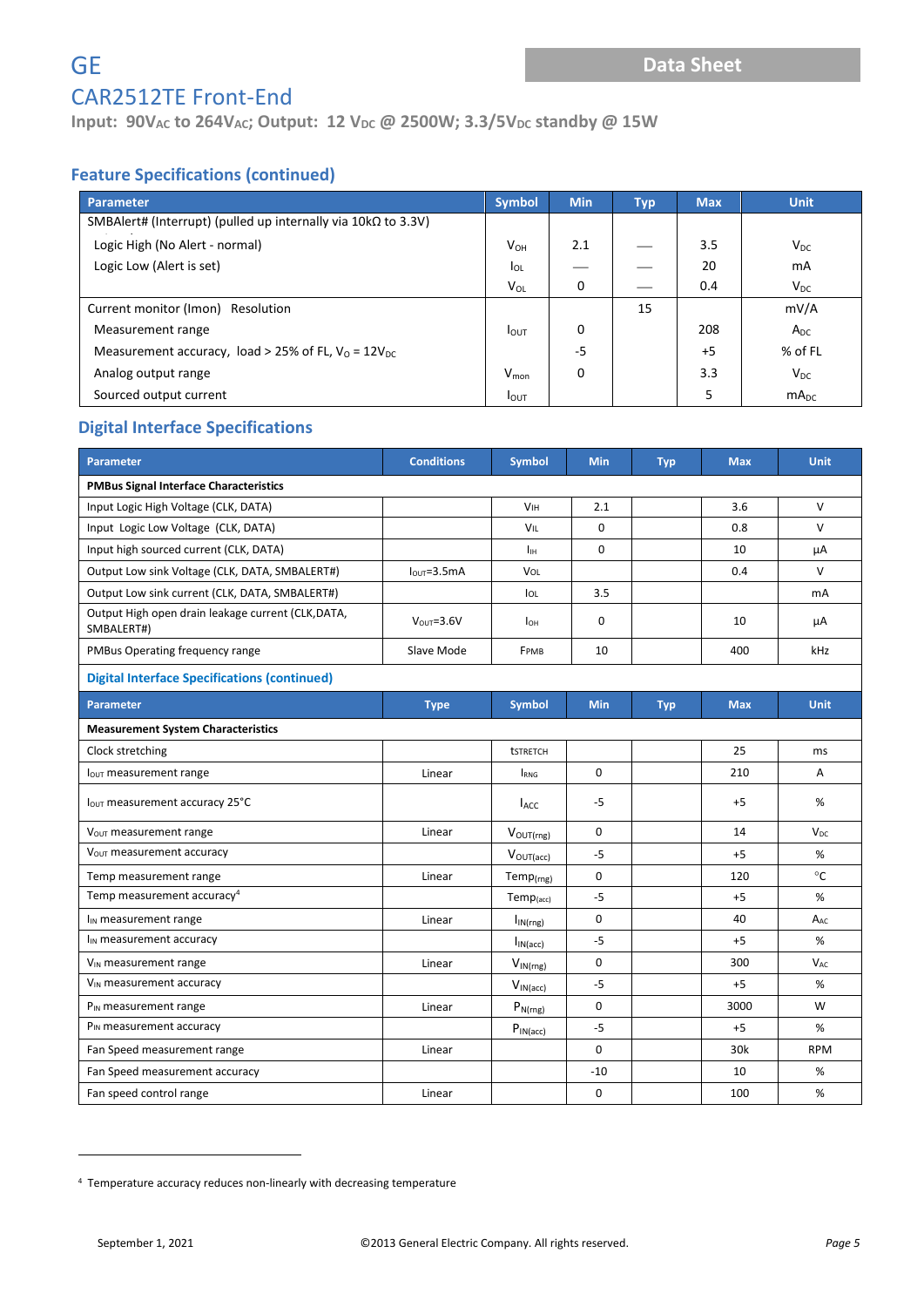## **Input: 90V**<sub>AC</sub> **to 264V**<sub>AC</sub>; Output: 12 V<sub>DC</sub> @ 2500W; 3.3/5V<sub>DC</sub> standby @ 15W

### **Feature Specifications (continued)**

| <b>Parameter</b>                                                     | <b>Symbol</b>    | <b>Min</b> | <b>Typ</b> | <b>Max</b> | <b>Unit</b>      |
|----------------------------------------------------------------------|------------------|------------|------------|------------|------------------|
| SMBAlert# (Interrupt) (pulled up internally via $10k\Omega$ to 3.3V) |                  |            |            |            |                  |
| Logic High (No Alert - normal)                                       | $V_{OH}$         | 2.1        |            | 3.5        | $V_{DC}$         |
| Logic Low (Alert is set)                                             | <b>I</b> OL      |            |            | 20         | mA               |
|                                                                      | $V_{OL}$         | 0          |            | 0.4        | $V_{DC}$         |
| Current monitor (Imon) Resolution                                    |                  |            | 15         |            | mV/A             |
| Measurement range                                                    | $I_{\text{OUT}}$ | 0          |            | 208        | $A_{DC}$         |
| Measurement accuracy, load > 25% of FL, $V_0 = 12V_{DC}$             |                  | -5         |            | $+5$       | % of FL          |
| Analog output range                                                  | $V_{\text{mon}}$ | 0          |            | 3.3        | $V_{DC}$         |
| Sourced output current                                               | <b>I</b> OUT     |            |            | 5          | mA <sub>DC</sub> |

#### **Digital Interface Specifications**

| Parameter                                                        | <b>Conditions</b> | <b>Symbol</b>           | <b>Min</b>  | <b>Typ</b> | <b>Max</b> | <b>Unit</b>           |
|------------------------------------------------------------------|-------------------|-------------------------|-------------|------------|------------|-----------------------|
| <b>PMBus Signal Interface Characteristics</b>                    |                   |                         |             |            |            |                       |
| Input Logic High Voltage (CLK, DATA)                             |                   | <b>V<sub>IH</sub></b>   | 2.1         |            | 3.6        | $\vee$                |
| Input Logic Low Voltage (CLK, DATA)                              |                   | <b>VIL</b>              | $\Omega$    |            | 0.8        | $\vee$                |
| Input high sourced current (CLK, DATA)                           |                   | Iн.                     | $\Omega$    |            | 10         | μA                    |
| Output Low sink Voltage (CLK, DATA, SMBALERT#)                   | $IOUT=3.5mA$      | VOL                     |             |            | 0.4        | $\vee$                |
| Output Low sink current (CLK, DATA, SMBALERT#)                   |                   | <b>IOL</b>              | 3.5         |            |            | mA                    |
| Output High open drain leakage current (CLK, DATA,<br>SMBALERT#) | $V_{OUT} = 3.6V$  | $I_{OH}$                | 0           |            | 10         | μA                    |
| PMBus Operating frequency range                                  | Slave Mode        | FPMB                    | 10          |            | 400        | kHz                   |
| <b>Digital Interface Specifications (continued)</b>              |                   |                         |             |            |            |                       |
| <b>Parameter</b>                                                 | <b>Type</b>       | <b>Symbol</b>           | <b>Min</b>  | <b>Typ</b> | <b>Max</b> | <b>Unit</b>           |
| <b>Measurement System Characteristics</b>                        |                   |                         |             |            |            |                       |
| Clock stretching                                                 |                   | <b>tstretch</b>         |             |            | 25         | ms                    |
| lout measurement range                                           | Linear            | <b>IRNG</b>             | 0           |            | 210        | Α                     |
| lout measurement accuracy 25°C                                   |                   | <b>L</b> <sub>ACC</sub> | $-5$        |            | $+5$       | %                     |
| V <sub>OUT</sub> measurement range                               | Linear            | $V_{OUT(rng)}$          | $\Omega$    |            | 14         | <b>V<sub>DC</sub></b> |
| V <sub>OUT</sub> measurement accuracy                            |                   | $V_{OUT(acc)}$          | $-5$        |            | $+5$       | %                     |
| Temp measurement range                                           | Linear            | $Temp_{(rng)}$          | $\mathbf 0$ |            | 120        | $^{\circ}$ C          |
| Temp measurement accuracy <sup>4</sup>                           |                   | $Temp_{(acc)}$          | $-5$        |            | $+5$       | %                     |
| l <sub>IN</sub> measurement range                                | Linear            | $I_{IN(rng)}$           | $\mathbf 0$ |            | 40         | A <sub>AC</sub>       |
| $I_{IN}$ measurement accuracy                                    |                   | I <sub>IN</sub> (acc)   | $-5$        |            | $+5$       | %                     |
| V <sub>IN</sub> measurement range                                | Linear            | $V_{IN(rng)}$           | $\mathbf 0$ |            | 300        | <b>V<sub>AC</sub></b> |
| V <sub>IN</sub> measurement accuracy                             |                   | $V_{IN(acc)}$           | $-5$        |            | $+5$       | %                     |
| P <sub>IN</sub> measurement range                                | Linear            | $P_{N(rng)}$            | $\mathbf 0$ |            | 3000       | W                     |
| P <sub>IN</sub> measurement accuracy                             |                   | $P_{IN(acc)}$           | $-5$        |            | $+5$       | %                     |
| Fan Speed measurement range                                      | Linear            |                         | $\mathbf 0$ |            | 30k        | <b>RPM</b>            |
| Fan Speed measurement accuracy                                   |                   |                         | $-10$       |            | 10         | %                     |
| Fan speed control range                                          | Linear            |                         | $\mathbf 0$ |            | 100        | %                     |

<sup>4</sup> Temperature accuracy reduces non-linearly with decreasing temperature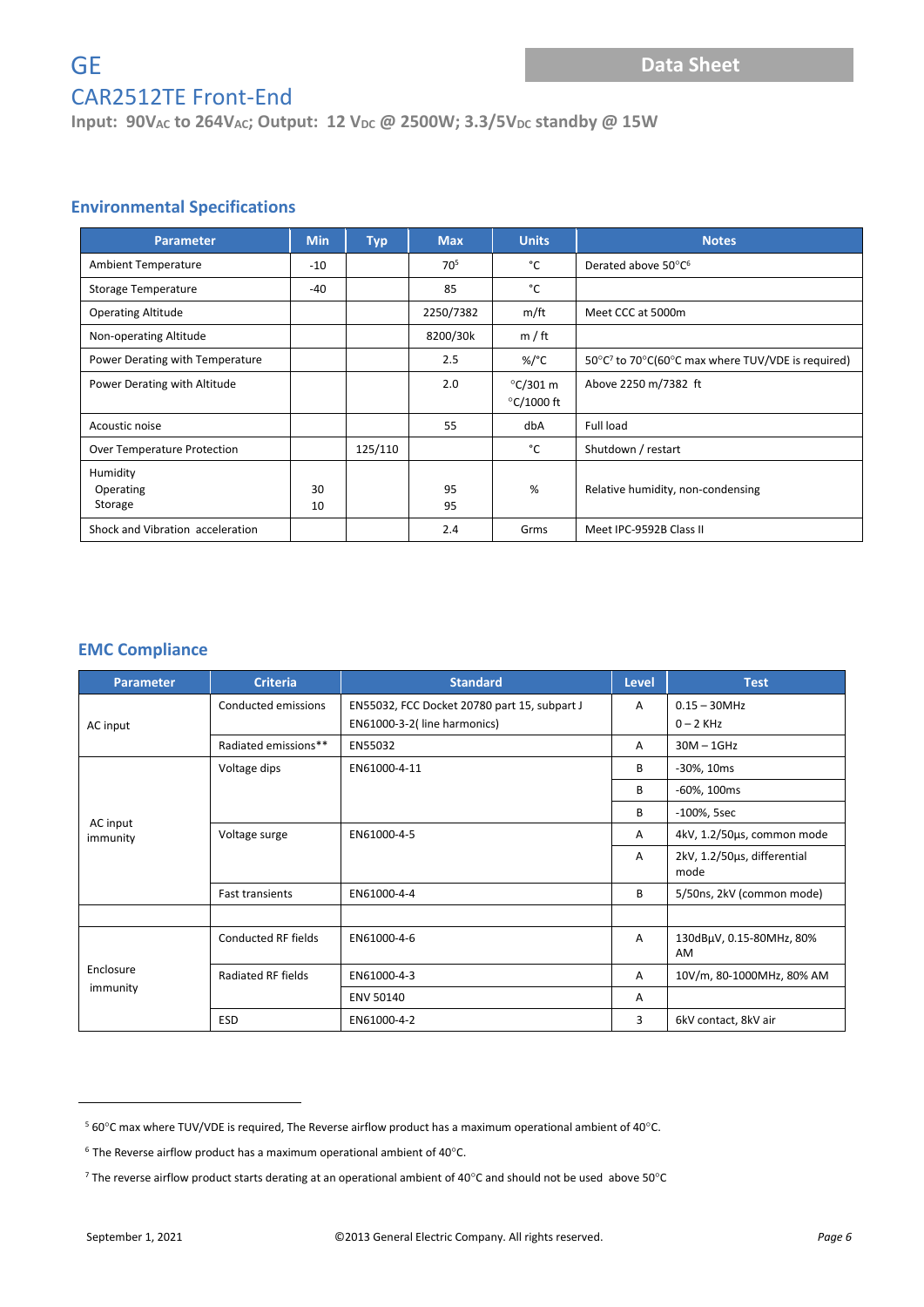**Input: 90V**<sub>AC</sub> **to 264V**<sub>AC</sub>; Output: 12 V<sub>DC</sub> @ 2500W; 3.3/5V<sub>DC</sub> standby @ 15W

#### **Environmental Specifications**

| <b>Parameter</b>                 | <b>Min</b> | <b>Typ</b> | <b>Max</b> | <b>Units</b>                             | <b>Notes</b>                                                  |
|----------------------------------|------------|------------|------------|------------------------------------------|---------------------------------------------------------------|
| <b>Ambient Temperature</b>       | -10        |            | 705        | °C                                       | Derated above 50°C <sup>6</sup>                               |
| Storage Temperature              | -40        |            | 85         | °C                                       |                                                               |
| <b>Operating Altitude</b>        |            |            | 2250/7382  | m/ft                                     | Meet CCC at 5000m                                             |
| Non-operating Altitude           |            |            | 8200/30k   | m / ft                                   |                                                               |
| Power Derating with Temperature  |            |            | 2.5        | %/°C                                     | 50°C <sup>7</sup> to 70°C(60°C max where TUV/VDE is required) |
| Power Derating with Altitude     |            |            | 2.0        | $\degree$ C/301 m<br>$\degree$ C/1000 ft | Above 2250 m/7382 ft                                          |
| Acoustic noise                   |            |            | 55         | dbA                                      | Full load                                                     |
| Over Temperature Protection      |            | 125/110    |            | °C                                       | Shutdown / restart                                            |
| Humidity<br>Operating<br>Storage | 30<br>10   |            | 95<br>95   | %                                        | Relative humidity, non-condensing                             |
| Shock and Vibration acceleration |            |            | 2.4        | Grms                                     | Meet IPC-9592B Class II                                       |

#### **EMC Compliance**

| <b>Parameter</b>      | <b>Criteria</b>        | <b>Standard</b>                              | <b>Level</b> | <b>Test</b>                         |
|-----------------------|------------------------|----------------------------------------------|--------------|-------------------------------------|
|                       | Conducted emissions    | EN55032, FCC Docket 20780 part 15, subpart J |              | $0.15 - 30$ MHz                     |
| AC input              |                        | EN61000-3-2(line harmonics)                  |              | $0 - 2$ KHz                         |
|                       | Radiated emissions**   | EN55032                                      | A            | $30M - 1GHz$                        |
|                       | Voltage dips           | EN61000-4-11                                 | B            | -30%, 10ms                          |
|                       |                        |                                              | B            | -60%, 100ms                         |
|                       |                        |                                              | B            | -100%, 5sec                         |
| AC input<br>immunity  | Voltage surge          | EN61000-4-5                                  | A            | 4kV, 1.2/50µs, common mode          |
|                       |                        |                                              | A            | 2kV, 1.2/50us, differential<br>mode |
|                       | <b>Fast transients</b> | EN61000-4-4                                  | B            | 5/50ns, 2kV (common mode)           |
|                       |                        |                                              |              |                                     |
| Enclosure<br>immunity | Conducted RF fields    | EN61000-4-6                                  | A            | 130dBµV, 0.15-80MHz, 80%<br>AM      |
|                       | Radiated RF fields     | EN61000-4-3                                  | A            | 10V/m, 80-1000MHz, 80% AM           |
|                       |                        | <b>ENV 50140</b>                             | A            |                                     |
|                       | <b>ESD</b>             | EN61000-4-2                                  | 3            | 6kV contact, 8kV air                |

 $560^{\circ}$ C max where TUV/VDE is required, The Reverse airflow product has a maximum operational ambient of 40 $^{\circ}$ C.

 $^6$  The Reverse airflow product has a maximum operational ambient of 40 $^{\circ}$ C.

<sup>&</sup>lt;sup>7</sup> The reverse airflow product starts derating at an operational ambient of 40°C and should not be used above 50°C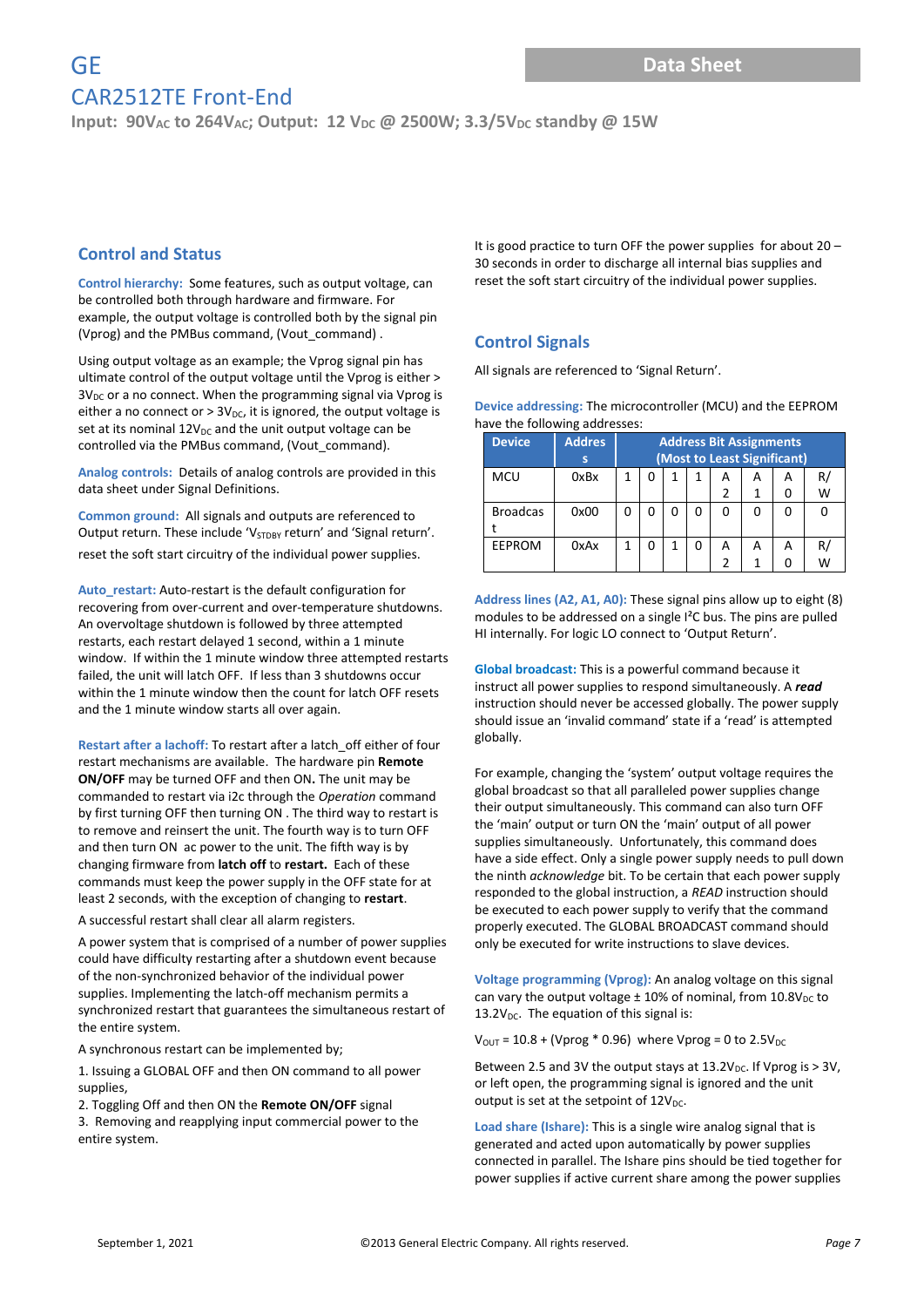**Input: 90V<sub>AC</sub> to 264V<sub>AC</sub>; Output: 12 V<sub>DC</sub> @ 2500W; 3.3/5V<sub>DC</sub> standby @ 15W** 

#### **Control and Status**

**Control hierarchy:** Some features, such as output voltage, can be controlled both through hardware and firmware. For example, the output voltage is controlled both by the signal pin (Vprog) and the PMBus command, (Vout\_command) .

Using output voltage as an example; the Vprog signal pin has ultimate control of the output voltage until the Vprog is either >  $3V_{DC}$  or a no connect. When the programming signal via Vprog is either a no connect or  $> 3V_{DC}$ , it is ignored, the output voltage is set at its nominal  $12V_{DC}$  and the unit output voltage can be controlled via the PMBus command, (Vout\_command).

**Analog controls:** Details of analog controls are provided in this data sheet under Signal Definitions.

**Common ground:** All signals and outputs are referenced to Output return. These include 'V<sub>STDBY</sub> return' and 'Signal return'. reset the soft start circuitry of the individual power supplies.

**Auto\_restart:** Auto-restart is the default configuration for recovering from over-current and over-temperature shutdowns. An overvoltage shutdown is followed by three attempted restarts, each restart delayed 1 second, within a 1 minute window. If within the 1 minute window three attempted restarts failed, the unit will latch OFF. If less than 3 shutdowns occur within the 1 minute window then the count for latch OFF resets and the 1 minute window starts all over again.

**Restart after a lachoff:** To restart after a latch\_off either of four restart mechanisms are available. The hardware pin **Remote ON/OFF** may be turned OFF and then ON**.** The unit may be commanded to restart via i2c through the *Operation* command by first turning OFF then turning ON . The third way to restart is to remove and reinsert the unit. The fourth way is to turn OFF and then turn ON ac power to the unit. The fifth way is by changing firmware from **latch off** to **restart.** Each of these commands must keep the power supply in the OFF state for at least 2 seconds, with the exception of changing to **restart**.

A successful restart shall clear all alarm registers.

A power system that is comprised of a number of power supplies could have difficulty restarting after a shutdown event because of the non-synchronized behavior of the individual power supplies. Implementing the latch-off mechanism permits a synchronized restart that guarantees the simultaneous restart of the entire system.

A synchronous restart can be implemented by;

1. Issuing a GLOBAL OFF and then ON command to all power supplies,

2. Toggling Off and then ON the **Remote ON/OFF** signal 3. Removing and reapplying input commercial power to the entire system.

It is good practice to turn OFF the power supplies for about 20 – 30 seconds in order to discharge all internal bias supplies and reset the soft start circuitry of the individual power supplies.

#### **Control Signals**

All signals are referenced to 'Signal Return'.

**Device addressing:** The microcontroller (MCU) and the EEPROM have the following addresses:

| <b>Device</b>   | <b>Addres</b> | <b>Address Bit Assignments</b> |                             |   |   |               |   |   |    |  |
|-----------------|---------------|--------------------------------|-----------------------------|---|---|---------------|---|---|----|--|
|                 |               |                                | (Most to Least Significant) |   |   |               |   |   |    |  |
| <b>MCU</b>      | 0xBx          | 1                              |                             | 1 | 1 | А             | А | А | R, |  |
|                 |               |                                |                             |   |   |               |   |   | W  |  |
| <b>Broadcas</b> | 0x00          | 0                              |                             | O | 0 | 0             | O |   |    |  |
|                 |               |                                |                             |   |   |               |   |   |    |  |
| <b>EEPROM</b>   | 0xAx          |                                |                             | 1 | 0 | А             | А | А | R, |  |
|                 |               |                                |                             |   |   | $\mathfrak z$ |   |   | w  |  |

**Address lines (A2, A1, A0):** These signal pins allow up to eight (8) modules to be addressed on a single I²C bus. The pins are pulled HI internally. For logic LO connect to 'Output Return'.

**Global broadcast:** This is a powerful command because it instruct all power supplies to respond simultaneously. A *read*  instruction should never be accessed globally. The power supply should issue an 'invalid command' state if a 'read' is attempted globally.

For example, changing the 'system' output voltage requires the global broadcast so that all paralleled power supplies change their output simultaneously. This command can also turn OFF the 'main' output or turn ON the 'main' output of all power supplies simultaneously. Unfortunately, this command does have a side effect. Only a single power supply needs to pull down the ninth *acknowledge* bit. To be certain that each power supply responded to the global instruction, a *READ* instruction should be executed to each power supply to verify that the command properly executed. The GLOBAL BROADCAST command should only be executed for write instructions to slave devices.

**Voltage programming (Vprog):** An analog voltage on this signal can vary the output voltage  $\pm$  10% of nominal, from 10.8V<sub>DC</sub> to 13.2 $V_{DC}$ . The equation of this signal is:

 $V_{\text{OUT}} = 10.8 + (Vprog * 0.96)$  where Vprog = 0 to 2.5V<sub>DC</sub>

Between 2.5 and 3V the output stays at  $13.2V_{DC}$ . If Vprog is > 3V, or left open, the programming signal is ignored and the unit output is set at the setpoint of  $12V_{DC}$ .

**Load share (Ishare):** This is a single wire analog signal that is generated and acted upon automatically by power supplies connected in parallel. The Ishare pins should be tied together for power supplies if active current share among the power supplies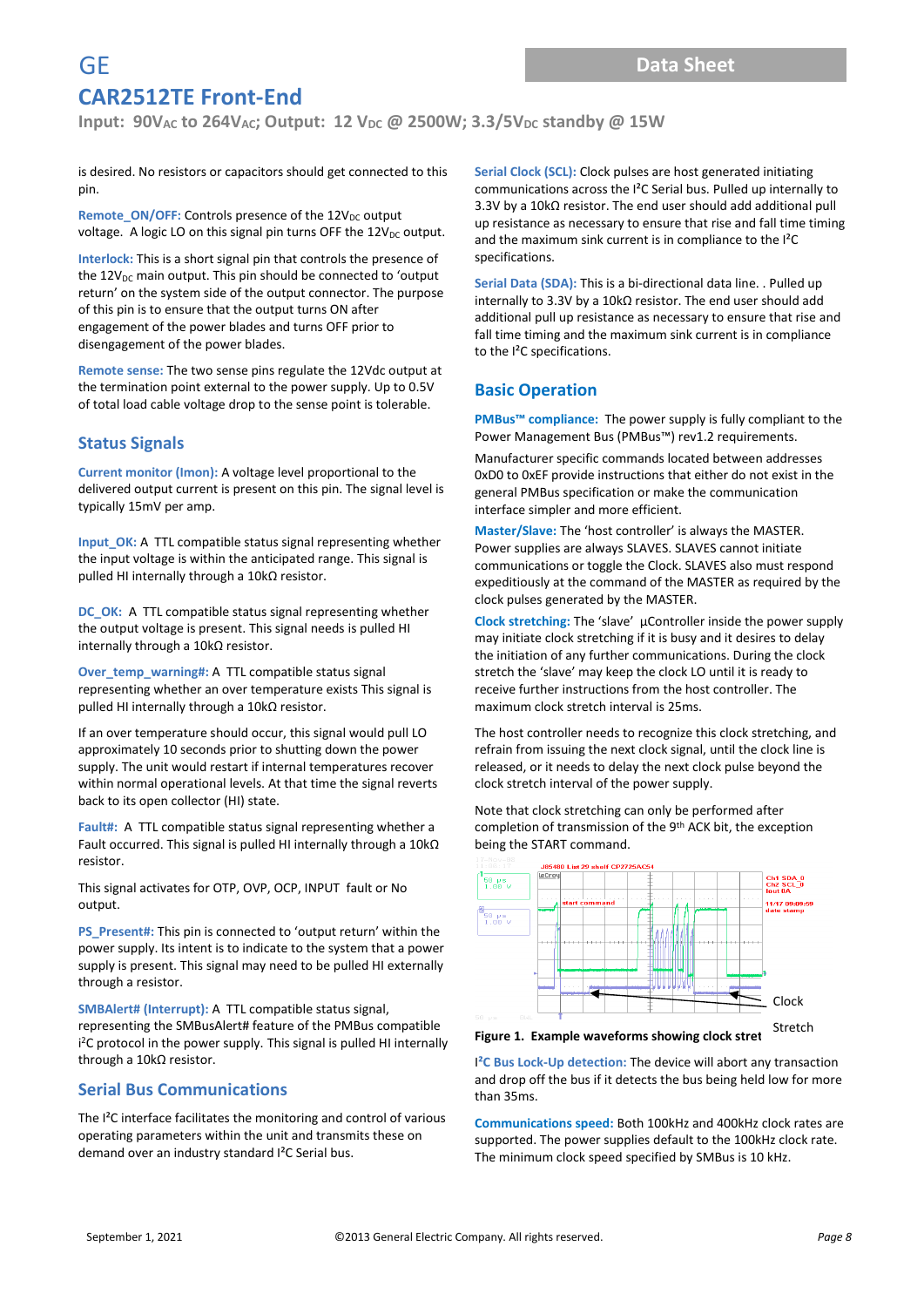**Input: 90V**<sub>AC</sub> to 264V<sub>AC</sub>; Output: 12 V<sub>DC</sub> @ 2500W; 3.3/5V<sub>DC</sub> standby @ 15W

is desired. No resistors or capacitors should get connected to this pin.

Remote\_ON/OFF: Controls presence of the 12V<sub>DC</sub> output voltage. A logic LO on this signal pin turns OFF the  $12V_{DC}$  output.

**Interlock:** This is a short signal pin that controls the presence of the  $12V_{DC}$  main output. This pin should be connected to 'output return' on the system side of the output connector. The purpose of this pin is to ensure that the output turns ON after engagement of the power blades and turns OFF prior to disengagement of the power blades.

**Remote sense:** The two sense pins regulate the 12Vdc output at the termination point external to the power supply. Up to 0.5V of total load cable voltage drop to the sense point is tolerable.

#### **Status Signals**

**Current monitor (Imon):** A voltage level proportional to the delivered output current is present on this pin. The signal level is typically 15mV per amp.

**Input\_OK:** A TTL compatible status signal representing whether the input voltage is within the anticipated range. This signal is pulled HI internally through a 10kΩ resistor.

**DC\_OK:** A TTL compatible status signal representing whether the output voltage is present. This signal needs is pulled HI internally through a 10kΩ resistor.

**Over\_temp\_warning#:** A TTL compatible status signal representing whether an over temperature exists This signal is pulled HI internally through a 10kΩ resistor.

If an over temperature should occur, this signal would pull LO approximately 10 seconds prior to shutting down the power supply. The unit would restart if internal temperatures recover within normal operational levels. At that time the signal reverts back to its open collector (HI) state.

**Fault#:** A TTL compatible status signal representing whether a Fault occurred. This signal is pulled HI internally through a 10kΩ resistor.

This signal activates for OTP, OVP, OCP, INPUT fault or No output.

**PS\_Present#:** This pin is connected to 'output return' within the power supply. Its intent is to indicate to the system that a power supply is present. This signal may need to be pulled HI externally through a resistor.

**SMBAlert# (Interrupt):** A TTL compatible status signal, representing the SMBusAlert# feature of the PMBus compatible i <sup>2</sup>C protocol in the power supply. This signal is pulled HI internally through a 10kΩ resistor.

#### **Serial Bus Communications**

The I<sup>2</sup>C interface facilitates the monitoring and control of various operating parameters within the unit and transmits these on demand over an industry standard I²C Serial bus.

**Serial Clock (SCL):** Clock pulses are host generated initiating communications across the I²C Serial bus. Pulled up internally to 3.3V by a 10kΩ resistor. The end user should add additional pull up resistance as necessary to ensure that rise and fall time timing and the maximum sink current is in compliance to the I²C specifications.

**Serial Data (SDA):** This is a bi-directional data line. . Pulled up internally to 3.3V by a 10kΩ resistor. The end user should add additional pull up resistance as necessary to ensure that rise and fall time timing and the maximum sink current is in compliance to the I²C specifications.

#### **Basic Operation**

**PMBus™ compliance:** The power supply is fully compliant to the Power Management Bus (PMBus™) rev1.2 requirements.

Manufacturer specific commands located between addresses 0xD0 to 0xEF provide instructions that either do not exist in the general PMBus specification or make the communication interface simpler and more efficient.

**Master/Slave:** The 'host controller' is always the MASTER. Power supplies are always SLAVES. SLAVES cannot initiate communications or toggle the Clock. SLAVES also must respond expeditiously at the command of the MASTER as required by the clock pulses generated by the MASTER.

**Clock stretching:** The 'slave' µController inside the power supply may initiate clock stretching if it is busy and it desires to delay the initiation of any further communications. During the clock stretch the 'slave' may keep the clock LO until it is ready to receive further instructions from the host controller. The maximum clock stretch interval is 25ms.

The host controller needs to recognize this clock stretching, and refrain from issuing the next clock signal, until the clock line is released, or it needs to delay the next clock pulse beyond the clock stretch interval of the power supply.

Note that clock stretching can only be performed after completion of transmission of the 9th ACK bit, the exception being the START command.



Figure 1. Example waveforms showing clock stret

I**²C Bus Lock-Up detection:** The device will abort any transaction and drop off the bus if it detects the bus being held low for more than 35ms.

**Communications speed:** Both 100kHz and 400kHz clock rates are supported. The power supplies default to the 100kHz clock rate. The minimum clock speed specified by SMBus is 10 kHz.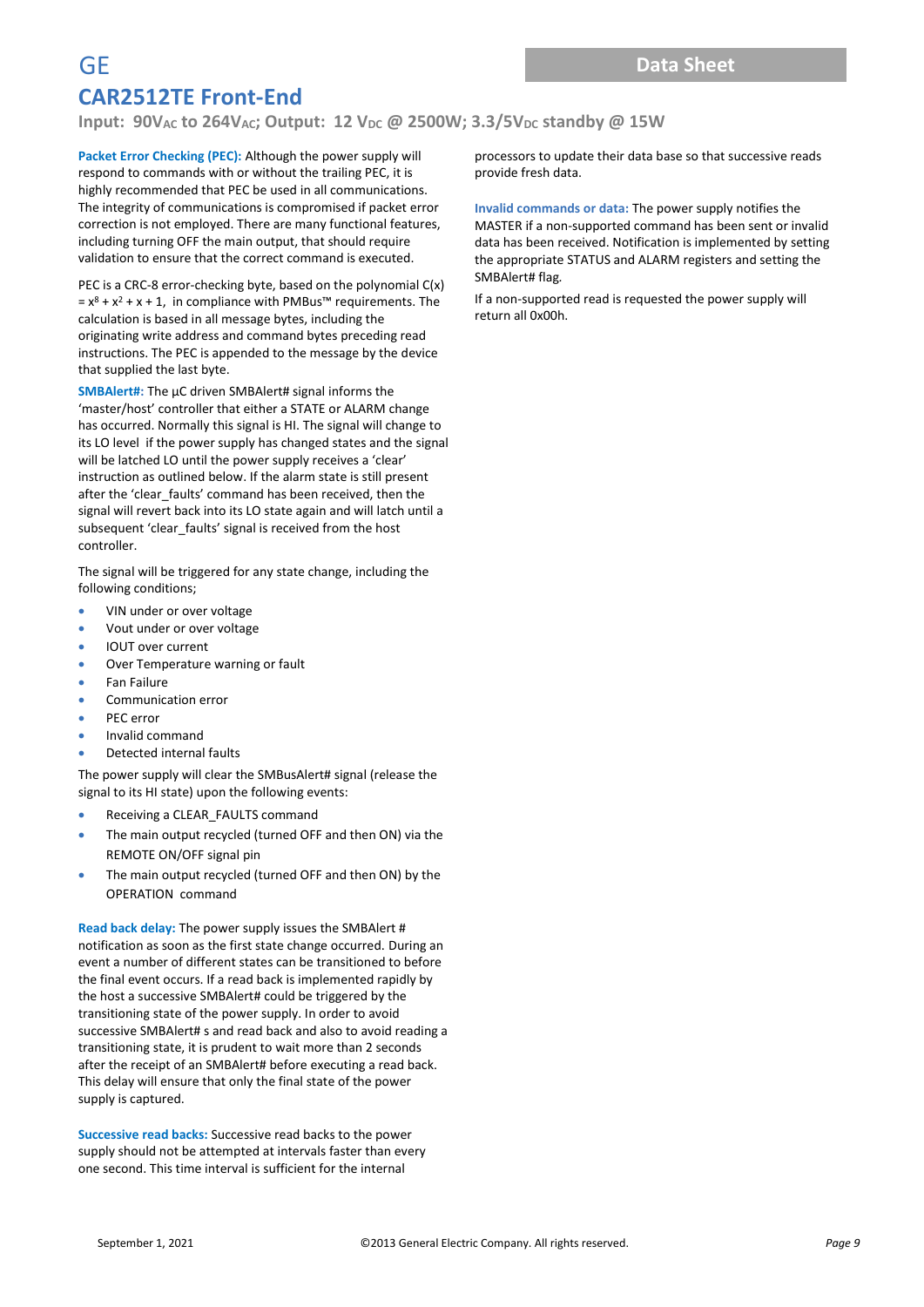**Input: 90V**<sub>AC</sub> to 264V<sub>AC</sub>; Output: 12 V<sub>DC</sub> @ 2500W; 3.3/5V<sub>DC</sub> standby @ 15W

**Packet Error Checking (PEC):** Although the power supply will respond to commands with or without the trailing PEC, it is highly recommended that PEC be used in all communications. The integrity of communications is compromised if packet error correction is not employed. There are many functional features, including turning OFF the main output, that should require validation to ensure that the correct command is executed.

PEC is a CRC-8 error-checking byte, based on the polynomial C(x)  $= x^8 + x^2 + x + 1$ , in compliance with PMBus<sup>™</sup> requirements. The calculation is based in all message bytes, including the originating write address and command bytes preceding read instructions. The PEC is appended to the message by the device that supplied the last byte.

**SMBAlert#:** The µC driven SMBAlert# signal informs the 'master/host' controller that either a STATE or ALARM change has occurred. Normally this signal is HI. The signal will change to its LO level if the power supply has changed states and the signal will be latched LO until the power supply receives a 'clear' instruction as outlined below. If the alarm state is still present after the 'clear\_faults' command has been received, then the signal will revert back into its LO state again and will latch until a subsequent 'clear\_faults' signal is received from the host controller.

The signal will be triggered for any state change, including the following conditions;

- VIN under or over voltage
- Vout under or over voltage
- IOUT over current
- Over Temperature warning or fault
- Fan Failure
- Communication error
- PEC error
- Invalid command
- Detected internal faults

The power supply will clear the SMBusAlert# signal (release the signal to its HI state) upon the following events:

- Receiving a CLEAR\_FAULTS command
- The main output recycled (turned OFF and then ON) via the REMOTE ON/OFF signal pin
- The main output recycled (turned OFF and then ON) by the OPERATION command

**Read back delay:** The power supply issues the SMBAlert # notification as soon as the first state change occurred. During an event a number of different states can be transitioned to before the final event occurs. If a read back is implemented rapidly by the host a successive SMBAlert# could be triggered by the transitioning state of the power supply. In order to avoid successive SMBAlert# s and read back and also to avoid reading a transitioning state, it is prudent to wait more than 2 seconds after the receipt of an SMBAlert# before executing a read back. This delay will ensure that only the final state of the power supply is captured.

**Successive read backs:** Successive read backs to the power supply should not be attempted at intervals faster than every one second. This time interval is sufficient for the internal

processors to update their data base so that successive reads provide fresh data.

**Invalid commands or data:** The power supply notifies the MASTER if a non-supported command has been sent or invalid data has been received. Notification is implemented by setting the appropriate STATUS and ALARM registers and setting the SMBAlert# flag*.* 

If a non-supported read is requested the power supply will return all 0x00h.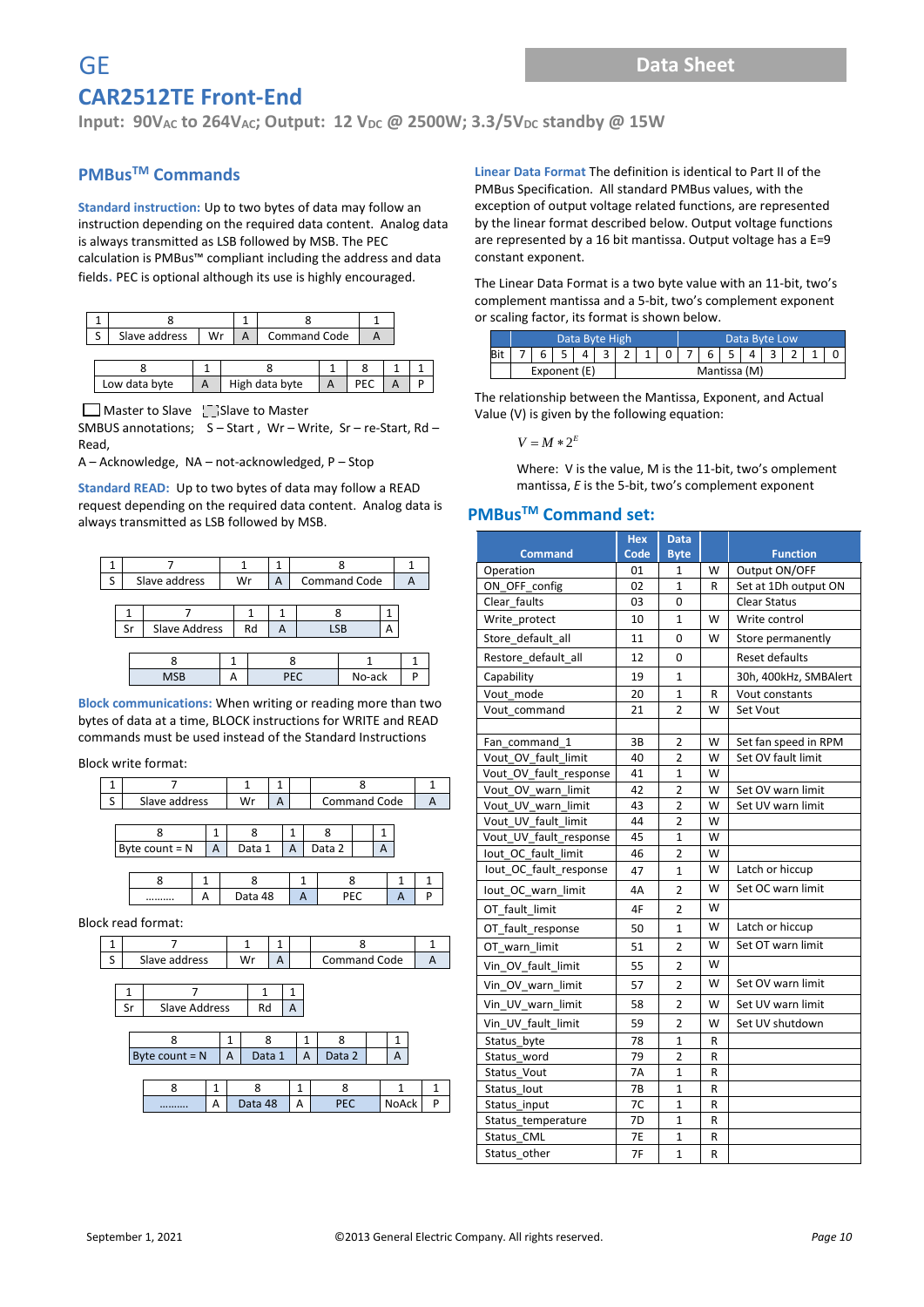**Input: 90V<sub>AC</sub> to 264V<sub>AC</sub>; Output: 12 V<sub>DC</sub> @ 2500W; 3.3/5V<sub>DC</sub> standby @ 15W** 

#### **PMBusTM Commands**

**Standard instruction:** Up to two bytes of data may follow an instruction depending on the required data content. Analog data is always transmitted as LSB followed by MSB. The PEC calculation is PMBus™ compliant including the address and data fields**.** PEC is optional although its use is highly encouraged.

| Slave address<br>c<br>Wr |               |  |  | <b>Command Code</b> |                |  |  |  |
|--------------------------|---------------|--|--|---------------------|----------------|--|--|--|
|                          |               |  |  |                     |                |  |  |  |
|                          |               |  |  |                     |                |  |  |  |
|                          | Low data byte |  |  |                     | High data byte |  |  |  |

 $\Box$  Master to Slave  $\Box$  Slave to Master

SMBUS annotations; S – Start , Wr – Write, Sr – re-Start, Rd – Read,

A – Acknowledge, NA – not-acknowledged, P – Stop

**Standard READ:** Up to two bytes of data may follow a READ request depending on the required data content. Analog data is always transmitted as LSB followed by MSB.

| ς |            |  | Slave address        |  | Wr |  | A |            | <b>Command Code</b> |   |  |  |
|---|------------|--|----------------------|--|----|--|---|------------|---------------------|---|--|--|
|   |            |  |                      |  |    |  |   |            |                     |   |  |  |
|   |            |  |                      |  |    |  |   |            |                     |   |  |  |
|   | Sr         |  | <b>Slave Address</b> |  | Rd |  |   |            | <b>LSB</b>          | А |  |  |
|   |            |  |                      |  |    |  |   |            |                     |   |  |  |
|   |            |  |                      |  |    |  |   |            |                     |   |  |  |
|   | <b>MSB</b> |  |                      |  |    |  |   | <b>PEC</b> | No-ack              |   |  |  |

**Block communications:** When writing or reading more than two bytes of data at a time, BLOCK instructions for WRITE and READ commands must be used instead of the Standard Instructions

Block write format:

| Slave address    |   | Wr     |   |        | <b>Command Code</b> |  |  |  |  |
|------------------|---|--------|---|--------|---------------------|--|--|--|--|
|                  |   |        |   |        |                     |  |  |  |  |
|                  |   |        |   |        |                     |  |  |  |  |
| Byte count $= N$ | А | Data 1 | А | Data 2 |                     |  |  |  |  |
|                  |   |        |   |        |                     |  |  |  |  |

| <br> |  |  |  |
|------|--|--|--|

Block read format:

| - | Slave address | w |  | Command Code |  |
|---|---------------|---|--|--------------|--|
|   |               |   |  |              |  |

| Slave Address |  |
|---------------|--|
|               |  |

| Byte count $= N$ |  |  | Data 1  |  | Data 2     |              |   |
|------------------|--|--|---------|--|------------|--------------|---|
|                  |  |  |         |  |            |              |   |
|                  |  |  |         |  |            |              |   |
|                  |  |  | Data 48 |  | <b>PEC</b> | <b>NoAck</b> | р |

**Linear Data Format** The definition is identical to Part II of the PMBus Specification. All standard PMBus values, with the exception of output voltage related functions, are represented by the linear format described below. Output voltage functions are represented by a 16 bit mantissa. Output voltage has a E=9 constant exponent.

The Linear Data Format is a two byte value with an 11-bit, two's complement mantissa and a 5-bit, two's complement exponent or scaling factor, its format is shown below.

|  |              | Data Byte High |  |  | Data Byte Low |              |  |  |  |  |  |
|--|--------------|----------------|--|--|---------------|--------------|--|--|--|--|--|
|  |              |                |  |  |               | ь            |  |  |  |  |  |
|  | Exponent (E) |                |  |  |               | Mantissa (M) |  |  |  |  |  |

The relationship between the Mantissa, Exponent, and Actual Value (V) is given by the following equation:

$$
V = M*2^E
$$

Where: V is the value, M is the 11-bit, two's omplement mantissa, *E* is the 5-bit, two's complement exponent

#### **PMBusTM Command set:**

|                        | <b>Hex</b> | Data           |   |                       |
|------------------------|------------|----------------|---|-----------------------|
| <b>Command</b>         | Code       | <b>Byte</b>    |   | <b>Function</b>       |
| Operation              | 01         | 1              | W | Output ON/OFF         |
| ON_OFF_config          | 02         | $\mathbf{1}$   | R | Set at 1Dh output ON  |
| Clear faults           | 03         | 0              |   | <b>Clear Status</b>   |
| Write_protect          | 10         | $\mathbf{1}$   | W | Write control         |
| Store default all      | 11         | 0              | W | Store permanently     |
| Restore default all    | 12         | 0              |   | Reset defaults        |
| Capability             | 19         | $\mathbf{1}$   |   | 30h, 400kHz, SMBAlert |
| Vout mode              | 20         | $\mathbf{1}$   | R | Vout constants        |
| Vout command           | 21         | $\overline{2}$ | W | Set Vout              |
|                        |            |                |   |                       |
| Fan command 1          | 3B         | 2              | W | Set fan speed in RPM  |
| Vout OV fault limit    | 40         | $\overline{2}$ | W | Set OV fault limit    |
| Vout OV_fault_response | 41         | 1              | W |                       |
| Vout_OV_warn_limit     | 42         | 2              | w | Set OV warn limit     |
| Vout UV warn limit     | 43         | $\overline{2}$ | w | Set UV warn limit     |
| Vout_UV_fault_limit    | 44         | $\overline{2}$ | W |                       |
| Vout_UV_fault_response | 45         | $\mathbf{1}$   | W |                       |
| lout OC fault limit    | 46         | $\overline{2}$ | W |                       |
| lout OC fault response | 47         | $\mathbf{1}$   | W | Latch or hiccup       |
| lout OC warn limit     | 4A         | $\overline{2}$ | W | Set OC warn limit     |
| OT fault limit         | 4F         | $\overline{2}$ | W |                       |
| OT fault response      | 50         | $\mathbf{1}$   | W | Latch or hiccup       |
| OT warn limit          | 51         | $\mathfrak{p}$ | W | Set OT warn limit     |
| Vin OV fault limit     | 55         | $\overline{2}$ | W |                       |
| Vin OV warn limit      | 57         | $\overline{2}$ | W | Set OV warn limit     |
| Vin UV warn limit      | 58         | $\overline{2}$ | W | Set UV warn limit     |
| Vin UV fault limit     | 59         | $\overline{2}$ | W | Set UV shutdown       |
| Status_byte            | 78         | $\mathbf{1}$   | R |                       |
| Status word            | 79         | $\overline{2}$ | R |                       |
| Status Vout            | <b>7A</b>  | $\mathbf{1}$   | R |                       |
| Status lout            | 7B         | $\overline{1}$ | R |                       |
| Status_input           | 7C         | $\mathbf{1}$   | R |                       |
| Status temperature     | 7D         | $\mathbf{1}$   | R |                       |
| Status_CML             | <b>7E</b>  | $\mathbf{1}$   | R |                       |
| Status other           | 7F         | $\mathbf{1}$   | R |                       |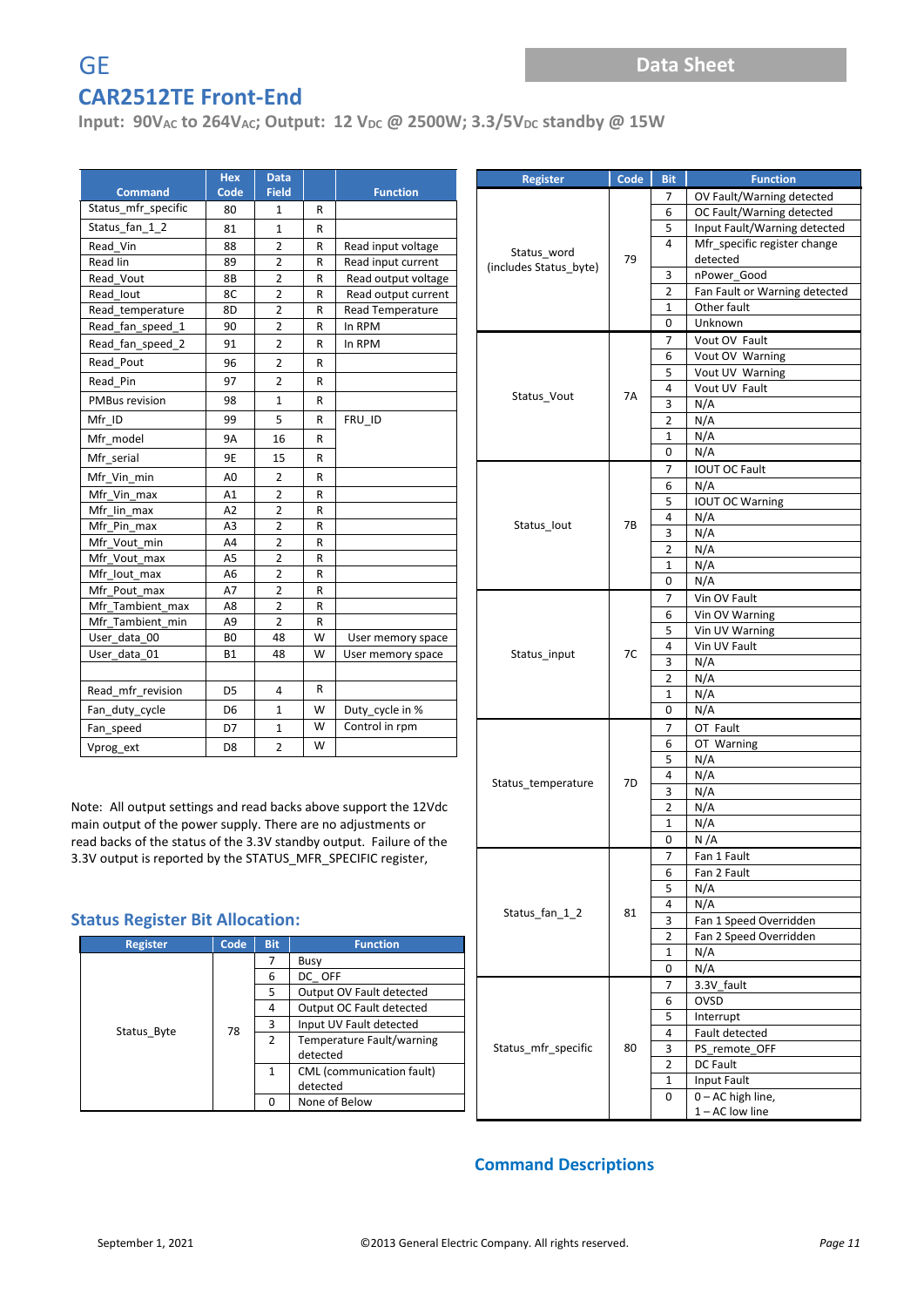**Input: 90V<sub>AC</sub> to 264V<sub>AC</sub>; Output: 12 V<sub>DC</sub> @ 2500W; 3.3/5V<sub>DC</sub> standby @ 15W** 

| <b>Command</b>        | <b>Hex</b><br>Code | <b>Data</b><br><b>Field</b> |   | <b>Function</b>     |
|-----------------------|--------------------|-----------------------------|---|---------------------|
| Status_mfr_specific   | 80                 | 1                           | R |                     |
| Status fan 12         | 81                 | $\mathbf{1}$                | R |                     |
| Read Vin              | 88                 | $\overline{2}$              | R | Read input voltage  |
| Read lin              | 89                 | $\overline{2}$              | R | Read input current  |
| Read Vout             | 8B                 | $\overline{2}$              | R | Read output voltage |
| Read lout             | 8C                 | $\overline{2}$              | R | Read output current |
| Read_temperature      | 8D                 | $\overline{2}$              | R | Read Temperature    |
| Read_fan_speed_1      | 90                 | $\overline{2}$              | R | In RPM              |
| Read fan speed 2      | 91                 | $\overline{2}$              | R | In RPM              |
| Read Pout             | 96                 | $\overline{2}$              | R |                     |
| Read Pin              | 97                 | $\overline{2}$              | R |                     |
| <b>PMBus revision</b> | 98                 | $\mathbf{1}$                | R |                     |
| Mfr ID                | 99                 | 5                           | R | FRU ID              |
| Mfr model             | <b>9A</b>          | 16                          | R |                     |
| Mfr_serial            | 9E                 | 15                          | R |                     |
| Mfr_Vin_min           | A <sub>0</sub>     | 2                           | R |                     |
| Mfr Vin_max           | A1                 | $\overline{2}$              | R |                     |
| Mfr lin max           | A2                 | $\overline{2}$              | R |                     |
| Mfr Pin max           | A <sub>3</sub>     | $\overline{2}$              | R |                     |
| Mfr_Vout_min          | A4                 | $\overline{2}$              | R |                     |
| Mfr Vout max          | A <sub>5</sub>     | $\overline{2}$              | R |                     |
| Mfr lout max          | A <sub>6</sub>     | $\overline{2}$              | R |                     |
| Mfr Pout max          | A7                 | $\overline{2}$              | R |                     |
| Mfr Tambient max      | A8                 | $\overline{2}$              | R |                     |
| Mfr Tambient min      | A <sub>9</sub>     | $\overline{2}$              | R |                     |
| User data 00          | BO                 | 48                          | W | User memory space   |
| User data 01          | <b>B1</b>          | 48                          | W | User memory space   |
|                       |                    |                             |   |                     |
| Read mfr revision     | D <sub>5</sub>     | 4                           | R |                     |
| Fan_duty_cycle        | D <sub>6</sub>     | $\mathbf{1}$                | W | Duty_cycle in %     |
| Fan_speed             | D7                 | $\mathbf{1}$                | W | Control in rpm      |
| Vprog ext             | D <sub>8</sub>     | $\overline{2}$              | W |                     |

Note: All output settings and read backs above support the 12Vdc main output of the power supply. There are no adjustments or read backs of the status of the 3.3V standby output. Failure of the 3.3V output is reported by the STATUS\_MFR\_SPECIFIC register,

#### **Status Register Bit Allocation:**

| <b>Register</b> | Code | <b>Bit</b> | <b>Function</b>           |
|-----------------|------|------------|---------------------------|
|                 |      |            | Busy                      |
|                 |      | 6          | DC OFF                    |
|                 |      | 5.         | Output OV Fault detected  |
|                 |      | 4          | Output OC Fault detected  |
| Status Byte     | 78   | 3          | Input UV Fault detected   |
|                 |      | 2          | Temperature Fault/warning |
|                 |      |            | detected                  |
|                 |      | 1          | CML (communication fault) |
|                 |      |            | detected                  |
|                 |      |            | None of Below             |

| <b>Register</b>        | Code | <b>Bit</b>          | <b>Function</b>               |
|------------------------|------|---------------------|-------------------------------|
|                        |      | 7                   | OV Fault/Warning detected     |
|                        |      | 6                   | OC Fault/Warning detected     |
|                        |      | 5                   | Input Fault/Warning detected  |
|                        | 79   | 4                   | Mfr_specific register change  |
| Status_word            |      |                     | detected                      |
| (includes Status_byte) |      | 3                   | nPower Good                   |
|                        |      | 2                   | Fan Fault or Warning detected |
|                        |      | 1                   | Other fault                   |
|                        |      | 0                   | Unknown                       |
|                        |      | 7                   | Vout OV Fault                 |
|                        |      | 6                   | Vout OV Warning               |
|                        |      | 5                   | Vout UV Warning               |
| Status_Vout            | 7A   | 4                   | Vout UV Fault                 |
|                        |      | 3                   | N/A                           |
|                        |      | $\overline{2}$      | N/A                           |
|                        |      | 1                   | N/A                           |
|                        |      | 0                   | N/A                           |
|                        |      | 7                   | <b>IOUT OC Fault</b>          |
|                        |      | 6                   | N/A                           |
|                        |      | 5                   | <b>IOUT OC Warning</b>        |
| Status_lout            | 7B   | 4                   | N/A                           |
|                        |      | 3                   | N/A                           |
|                        |      | $\overline{2}$      | N/A                           |
|                        |      | 1                   | N/A                           |
|                        |      | 0                   | N/A                           |
|                        |      | 7                   | Vin OV Fault                  |
|                        |      | 6                   | Vin OV Warning                |
|                        |      | 5                   | Vin UV Warning                |
| Status_input           | 7C   | 4                   | Vin UV Fault                  |
|                        |      | 3                   | N/A                           |
|                        |      | $\overline{2}$      | N/A                           |
|                        |      | 1                   | N/A                           |
|                        |      | 0                   | N/A                           |
|                        |      | 7                   | OT Fault                      |
|                        |      | 6                   | OT Warning                    |
|                        |      | 5                   | N/A                           |
| Status_temperature     | 7D   | 4                   | N/A                           |
|                        |      | 3<br>$\overline{2}$ | N/A<br>N/A                    |
|                        |      | 1                   | N/A                           |
|                        |      | 0                   | N/A                           |
|                        |      | $\overline{7}$      | Fan 1 Fault                   |
|                        |      | 6                   | Fan 2 Fault                   |
|                        |      | 5                   | N/A                           |
|                        |      | 4                   | N/A                           |
| Status fan 12          | 81   | 3                   | Fan 1 Speed Overridden        |
|                        |      | 2                   | Fan 2 Speed Overridden        |
|                        |      | 1                   | N/A                           |
|                        |      | 0                   | N/A                           |
|                        |      | 7                   | 3.3V fault                    |
|                        | 80   | 6                   | <b>OVSD</b>                   |
|                        |      | 5                   | Interrupt                     |
|                        |      | 4                   | Fault detected                |
| Status_mfr_specific    |      | З                   | PS_remote_OFF                 |
|                        |      | 2                   | DC Fault                      |
|                        |      | 1                   | Input Fault                   |
|                        |      | 0                   | 0-AC high line,               |
|                        |      |                     | 1-AC low line                 |

#### **Command Descriptions**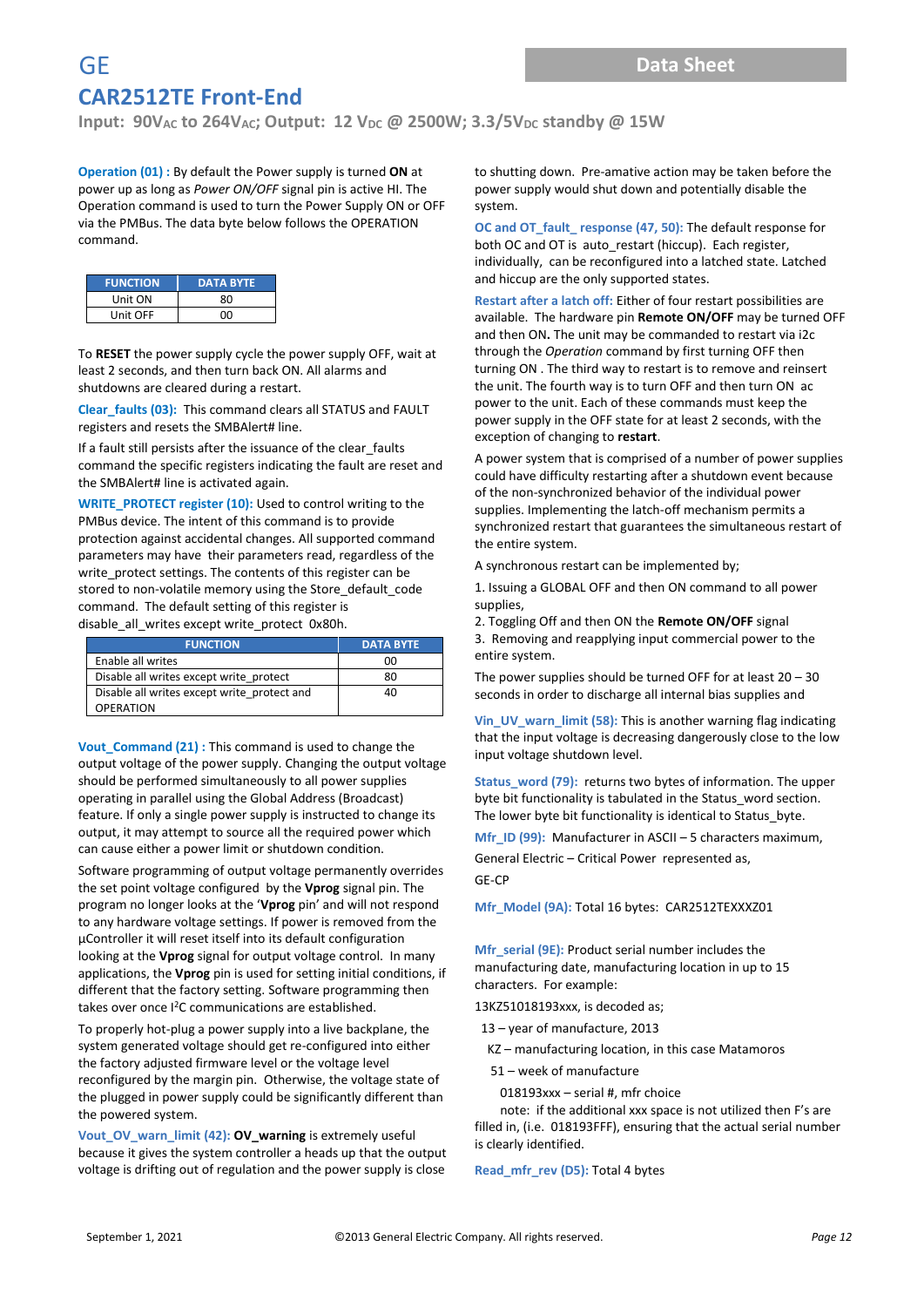**Input: 90V**<sub>AC</sub> to 264V<sub>AC</sub>; Output: 12 V<sub>DC</sub> @ 2500W; 3.3/5V<sub>DC</sub> standby @ 15W

**Operation (01) :** By default the Power supply is turned **ON** at power up as long as *Power ON/OFF* signal pin is active HI. The Operation command is used to turn the Power Supply ON or OFF via the PMBus. The data byte below follows the OPERATION command.

| <b>FUNCTION</b> | <b>DATA BYTE</b> |  |  |  |
|-----------------|------------------|--|--|--|
| Unit ON         | 80               |  |  |  |
| Unit OFF        | nn               |  |  |  |

To **RESET** the power supply cycle the power supply OFF, wait at least 2 seconds, and then turn back ON. All alarms and shutdowns are cleared during a restart.

**Clear\_faults (03):** This command clears all STATUS and FAULT registers and resets the SMBAlert# line.

If a fault still persists after the issuance of the clear faults command the specific registers indicating the fault are reset and the SMBAlert# line is activated again.

**WRITE\_PROTECT register (10): Used to control writing to the** PMBus device. The intent of this command is to provide protection against accidental changes. All supported command parameters may have their parameters read, regardless of the write\_protect settings. The contents of this register can be stored to non-volatile memory using the Store default code command. The default setting of this register is disable all writes except write protect 0x80h.

| <b>FUNCTION</b>                             | <b>DATA BYTE</b> |
|---------------------------------------------|------------------|
| Enable all writes                           | 00               |
| Disable all writes except write protect     | 80               |
| Disable all writes except write protect and | 40               |
| <b>OPERATION</b>                            |                  |

**Vout\_Command (21) :** This command is used to change the output voltage of the power supply. Changing the output voltage should be performed simultaneously to all power supplies operating in parallel using the Global Address (Broadcast) feature. If only a single power supply is instructed to change its output, it may attempt to source all the required power which can cause either a power limit or shutdown condition.

Software programming of output voltage permanently overrides the set point voltage configured by the **Vprog** signal pin. The program no longer looks at the '**Vprog** pin' and will not respond to any hardware voltage settings. If power is removed from the µController it will reset itself into its default configuration looking at the **Vprog** signal for output voltage control. In many applications, the **Vprog** pin is used for setting initial conditions, if different that the factory setting. Software programming then takes over once I<sup>2</sup>C communications are established.

To properly hot-plug a power supply into a live backplane, the system generated voltage should get re-configured into either the factory adjusted firmware level or the voltage level reconfigured by the margin pin. Otherwise, the voltage state of the plugged in power supply could be significantly different than the powered system.

**Vout\_OV\_warn\_limit (42): OV\_warning** is extremely useful because it gives the system controller a heads up that the output voltage is drifting out of regulation and the power supply is close

to shutting down. Pre-amative action may be taken before the power supply would shut down and potentially disable the system.

**OC and OT\_fault\_ response (47, 50):** The default response for both OC and OT is auto\_restart (hiccup). Each register, individually, can be reconfigured into a latched state. Latched and hiccup are the only supported states.

**Restart after a latch off:** Either of four restart possibilities are available. The hardware pin **Remote ON/OFF** may be turned OFF and then ON**.** The unit may be commanded to restart via i2c through the *Operation* command by first turning OFF then turning ON . The third way to restart is to remove and reinsert the unit. The fourth way is to turn OFF and then turn ON ac power to the unit. Each of these commands must keep the power supply in the OFF state for at least 2 seconds, with the exception of changing to **restart**.

A power system that is comprised of a number of power supplies could have difficulty restarting after a shutdown event because of the non-synchronized behavior of the individual power supplies. Implementing the latch-off mechanism permits a synchronized restart that guarantees the simultaneous restart of the entire system.

A synchronous restart can be implemented by;

1. Issuing a GLOBAL OFF and then ON command to all power supplies,

2. Toggling Off and then ON the **Remote ON/OFF** signal

3. Removing and reapplying input commercial power to the entire system.

The power supplies should be turned OFF for at least  $20 - 30$ seconds in order to discharge all internal bias supplies and

**Vin\_UV\_warn\_limit (58):** This is another warning flag indicating that the input voltage is decreasing dangerously close to the low input voltage shutdown level.

**Status\_word (79):** returns two bytes of information. The upper byte bit functionality is tabulated in the Status word section. The lower byte bit functionality is identical to Status\_byte.

**Mfr** ID (99): Manufacturer in ASCII – 5 characters maximum,

General Electric – Critical Power represented as,

GE-CP

**Mfr\_Model (9A):** Total 16 bytes: CAR2512TEXXXZ01

**Mfr** serial (9E): Product serial number includes the manufacturing date, manufacturing location in up to 15 characters. For example:

13KZ51018193xxx, is decoded as;

- 13 year of manufacture, 2013
- KZ manufacturing location, in this case Matamoros

51 – week of manufacture

018193xxx – serial #, mfr choice

 note: if the additional xxx space is not utilized then F's are filled in, (i.e. 018193FFF), ensuring that the actual serial number is clearly identified.

**Read\_mfr\_rev (D5):** Total 4 bytes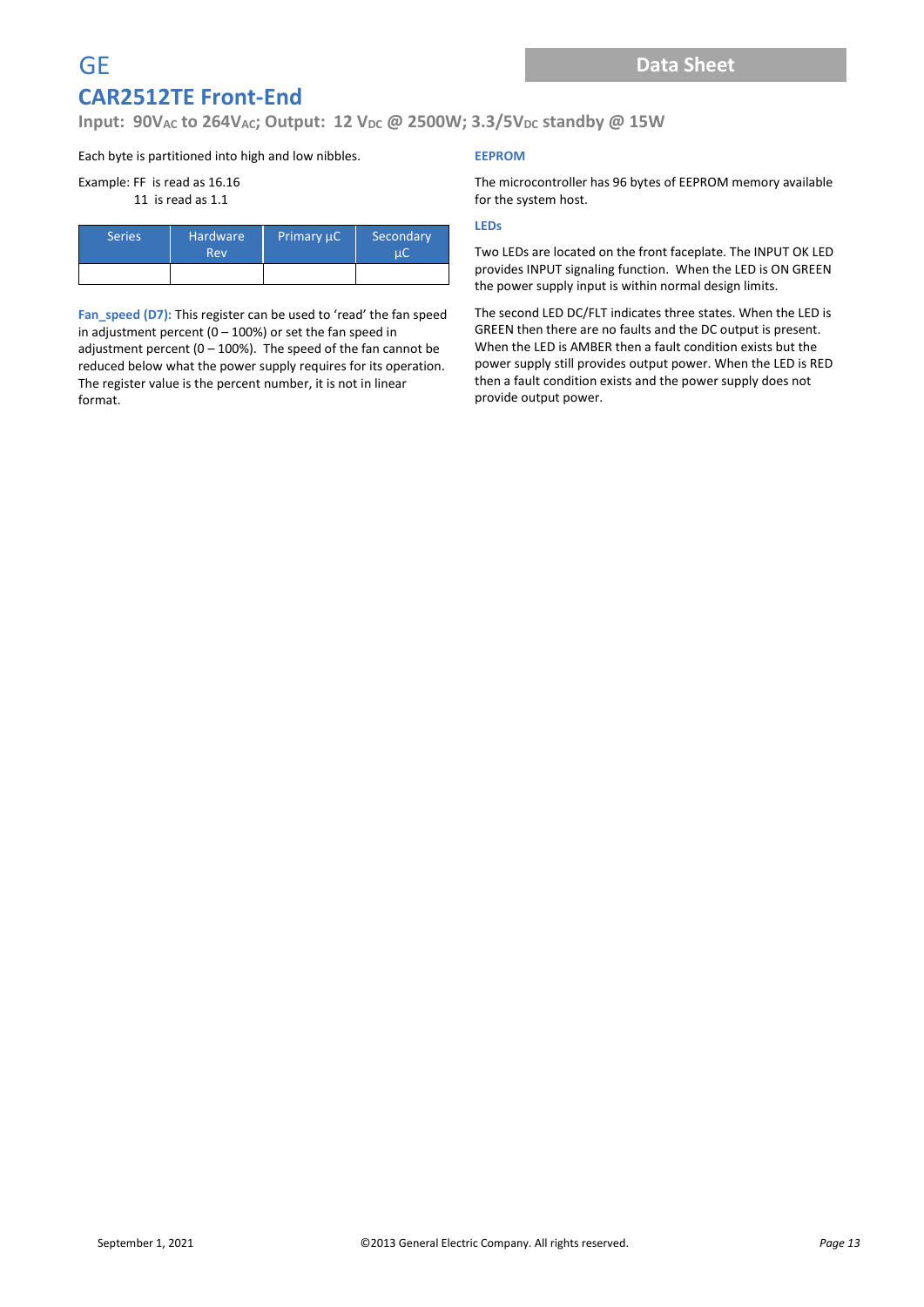**Input: 90V<sub>AC</sub> to 264V<sub>AC</sub>; Output: 12 V<sub>DC</sub> @ 2500W; 3.3/5V<sub>DC</sub> standby @ 15W** 

Each byte is partitioned into high and low nibbles.

#### Example: FF is read as 16.16

11 is read as 1.1

| <b>Series</b> | <b>Hardware</b><br>Rev | Primary µC | Secondary |  |
|---------------|------------------------|------------|-----------|--|
|               |                        |            |           |  |

**Fan\_speed (D7):** This register can be used to 'read' the fan speed in adjustment percent (0 – 100%) or set the fan speed in adjustment percent (0 – 100%). The speed of the fan cannot be reduced below what the power supply requires for its operation. The register value is the percent number, it is not in linear format.

#### **EEPROM**

The microcontroller has 96 bytes of EEPROM memory available for the system host.

#### **LEDs**

Two LEDs are located on the front faceplate. The INPUT OK LED provides INPUT signaling function. When the LED is ON GREEN the power supply input is within normal design limits.

The second LED DC/FLT indicates three states. When the LED is GREEN then there are no faults and the DC output is present. When the LED is AMBER then a fault condition exists but the power supply still provides output power. When the LED is RED then a fault condition exists and the power supply does not provide output power.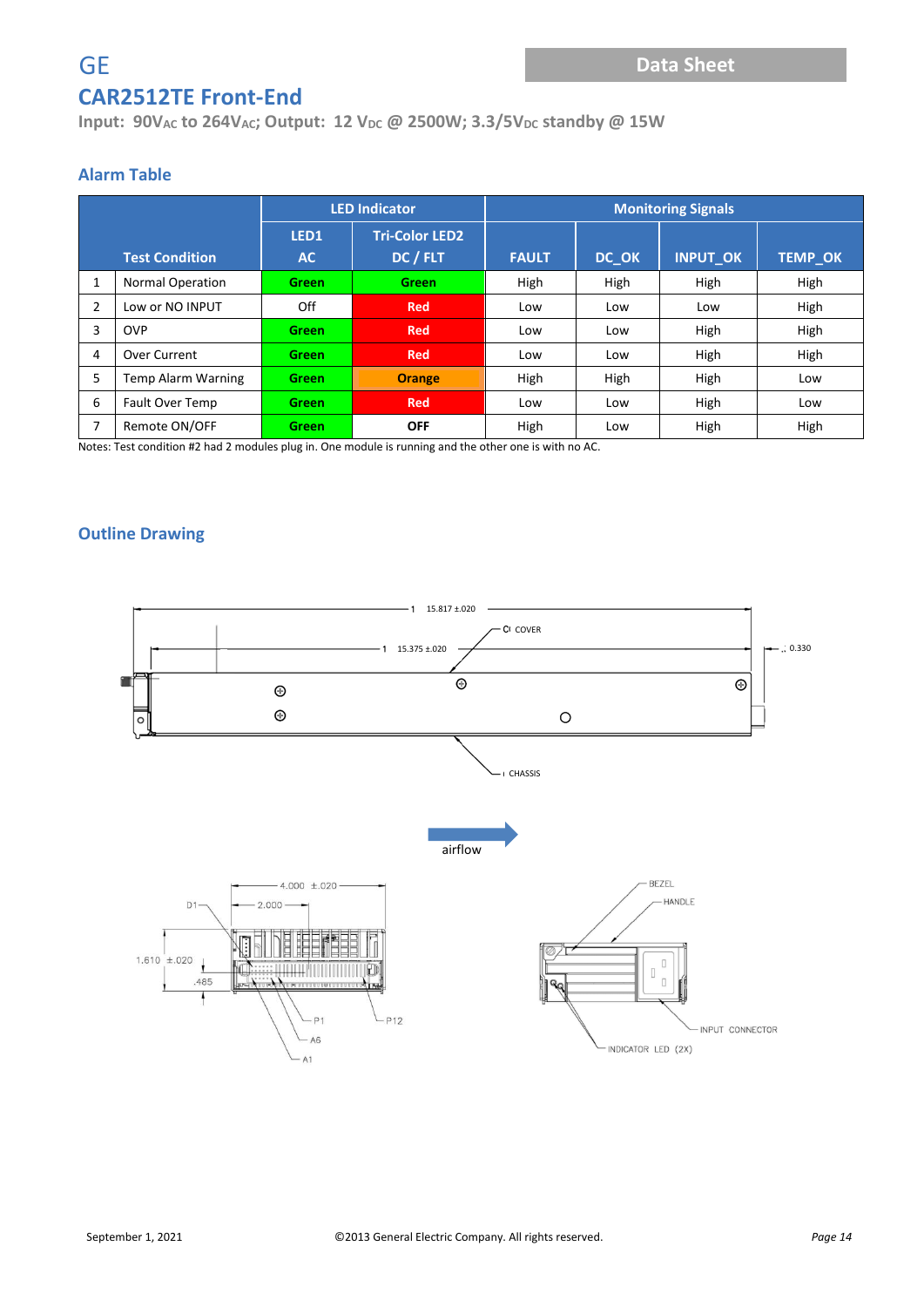## **Input: 90V**<sub>AC</sub> **to 264V**<sub>AC</sub>; Output: 12 V<sub>DC</sub> @ 2500W; 3.3/5V<sub>DC</sub> standby @ 15W

# **Alarm Table**

|   |                           |              | <b>LED Indicator</b>  | <b>Monitoring Signals</b> |       |                 |                |
|---|---------------------------|--------------|-----------------------|---------------------------|-------|-----------------|----------------|
|   |                           | LED1         | <b>Tri-Color LED2</b> |                           |       |                 |                |
|   | <b>Test Condition</b>     | <b>AC</b>    | DC / FLT              | <b>FAULT</b>              | DC_OK | <b>INPUT_OK</b> | <b>TEMP_OK</b> |
| 1 | <b>Normal Operation</b>   | <b>Green</b> | <b>Green</b>          | High                      | High  | High            | High           |
| 2 | Low or NO INPUT           | Off          | <b>Red</b>            | Low                       | Low   | Low             | High           |
| 3 | <b>OVP</b>                | <b>Green</b> | <b>Red</b>            | Low                       | Low   | High            | High           |
| 4 | Over Current              | <b>Green</b> | <b>Red</b>            | Low                       | Low   | High            | High           |
| 5 | <b>Temp Alarm Warning</b> | <b>Green</b> | <b>Orange</b>         | High                      | High  | High            | Low            |
| 6 | Fault Over Temp           | <b>Green</b> | <b>Red</b>            | Low                       | Low   | High            | Low            |
| 7 | Remote ON/OFF             | <b>Green</b> | <b>OFF</b>            | High                      | Low   | High            | High           |

Notes: Test condition #2 had 2 modules plug in. One module is running and the other one is with no AC.

#### **Outline Drawing**

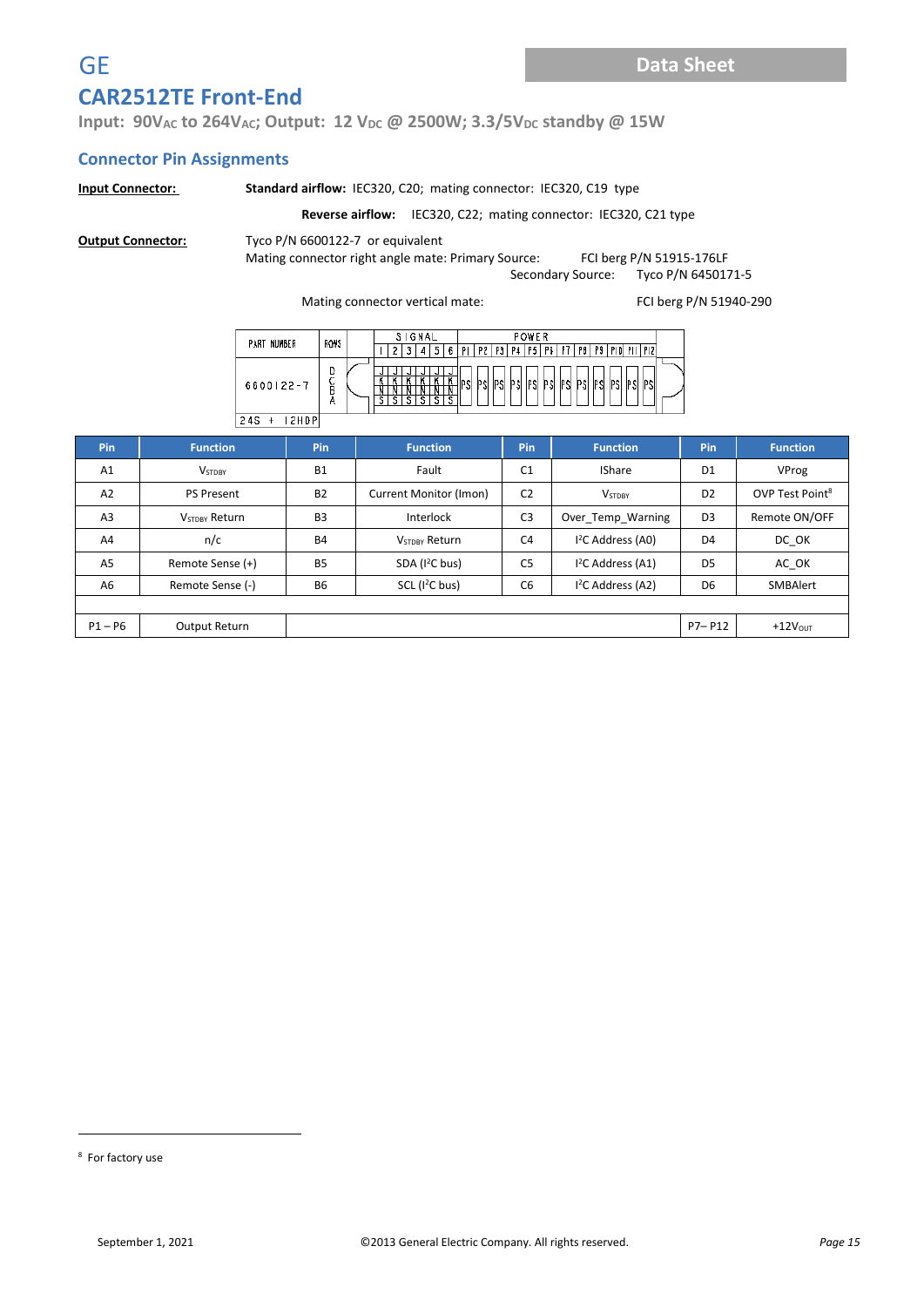**Input: 90V**<sub>AC</sub> **to 264V**<sub>AC</sub>; Output: 12 V<sub>DC</sub> @ 2500W; 3.3/5V<sub>DC</sub> standby @ 15W

#### **Connector Pin Assignments**

|                                                                                                                                                                                                                                                                                                                                                                                                                                                                                                                                               | <b>Standard airflow: IEC320, C20; mating connector: IEC320, C19 type</b><br><b>Input Connector:</b> |                |                                 |                |                    |                |                             |
|-----------------------------------------------------------------------------------------------------------------------------------------------------------------------------------------------------------------------------------------------------------------------------------------------------------------------------------------------------------------------------------------------------------------------------------------------------------------------------------------------------------------------------------------------|-----------------------------------------------------------------------------------------------------|----------------|---------------------------------|----------------|--------------------|----------------|-----------------------------|
| <b>Reverse airflow:</b> IEC320, C22; mating connector: IEC320, C21 type                                                                                                                                                                                                                                                                                                                                                                                                                                                                       |                                                                                                     |                |                                 |                |                    |                |                             |
| Tyco P/N 6600122-7 or equivalent<br><b>Output Connector:</b><br>Mating connector right angle mate: Primary Source:<br>FCI berg P/N 51915-176LF<br>Tyco P/N 6450171-5<br>Secondary Source:<br>FCI berg P/N 51940-290<br>Mating connector vertical mate:<br>SIGNAL<br><b>POWER</b><br>ROWS<br>PART NUMBER<br>  3   4   5   6   PI   P2   P3   P4   P5   P6   P7   P8   P9   P10   P11   P12  <br>$\overline{2}$<br>D<br>$\bar{S}$<br>κ⊺<br>IPSI PSI<br>PSI<br>PSI PSI PSI<br>PSI PSI<br>6600122-7<br><b>IPSI</b><br>PSI<br>PSI<br>PSI<br>A<br>s |                                                                                                     |                |                                 |                |                    |                |                             |
|                                                                                                                                                                                                                                                                                                                                                                                                                                                                                                                                               |                                                                                                     | $24S + 12HDP$  |                                 |                |                    |                |                             |
| Pin                                                                                                                                                                                                                                                                                                                                                                                                                                                                                                                                           | <b>Function</b>                                                                                     | Pin            | <b>Function</b>                 | Pin            | <b>Function</b>    | Pin            | <b>Function</b>             |
| A1                                                                                                                                                                                                                                                                                                                                                                                                                                                                                                                                            | <b>VSTDBY</b>                                                                                       | <b>B1</b>      | Fault                           | C <sub>1</sub> | <b>IShare</b>      | D <sub>1</sub> | VProg                       |
| A2                                                                                                                                                                                                                                                                                                                                                                                                                                                                                                                                            | <b>PS Present</b>                                                                                   | <b>B2</b>      | Current Monitor (Imon)          | C <sub>2</sub> | <b>VSTDBY</b>      | D <sub>2</sub> | OVP Test Point <sup>8</sup> |
| A <sub>3</sub>                                                                                                                                                                                                                                                                                                                                                                                                                                                                                                                                | <b>V<sub>STDBY</sub></b> Return                                                                     | B <sub>3</sub> | Interlock                       | C <sub>3</sub> | Over Temp Warning  | D <sub>3</sub> | Remote ON/OFF               |
| A <sub>4</sub>                                                                                                                                                                                                                                                                                                                                                                                                                                                                                                                                | n/c                                                                                                 | <b>B4</b>      | <b>V<sub>STDBY</sub></b> Return | C <sub>4</sub> | $I2C$ Address (A0) | D <sub>4</sub> | DC OK                       |
| A <sub>5</sub>                                                                                                                                                                                                                                                                                                                                                                                                                                                                                                                                | Remote Sense (+)                                                                                    | <b>B5</b>      | SDA (I <sup>2</sup> C bus)      | C <sub>5</sub> | $I2C$ Address (A1) | D <sub>5</sub> | AC OK                       |
| A <sub>6</sub><br>Remote Sense (-)                                                                                                                                                                                                                                                                                                                                                                                                                                                                                                            |                                                                                                     | <b>B6</b>      | SCL (I <sup>2</sup> C bus)      | C <sub>6</sub> | $I2C$ Address (A2) | D <sub>6</sub> | SMBAlert                    |
|                                                                                                                                                                                                                                                                                                                                                                                                                                                                                                                                               |                                                                                                     |                |                                 |                |                    |                |                             |
| $P1 - P6$                                                                                                                                                                                                                                                                                                                                                                                                                                                                                                                                     | Output Return                                                                                       |                |                                 |                |                    | $P7 - P12$     | $+12VOUT$                   |

<sup>8</sup> For factory use